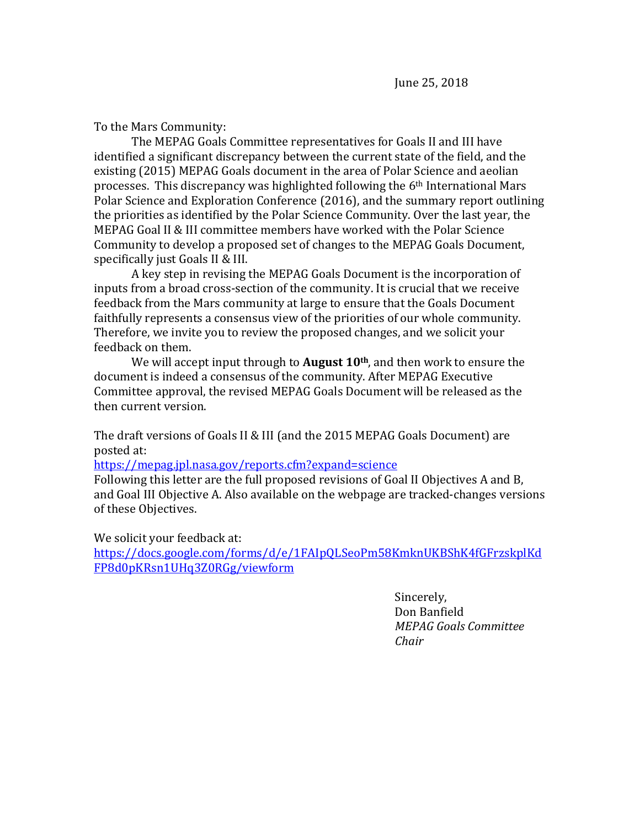To the Mars Community:

The MEPAG Goals Committee representatives for Goals II and III have identified a significant discrepancy between the current state of the field, and the existing (2015) MEPAG Goals document in the area of Polar Science and aeolian processes. This discrepancy was highlighted following the 6th International Mars Polar Science and Exploration Conference (2016), and the summary report outlining the priorities as identified by the Polar Science Community. Over the last year, the MEPAG Goal II & III committee members have worked with the Polar Science Community to develop a proposed set of changes to the MEPAG Goals Document, specifically just Goals II & III.

A key step in revising the MEPAG Goals Document is the incorporation of inputs from a broad cross-section of the community. It is crucial that we receive feedback from the Mars community at large to ensure that the Goals Document faithfully represents a consensus view of the priorities of our whole community. Therefore, we invite you to review the proposed changes, and we solicit your feedback on them.

We will accept input through to **August 10th**, and then work to ensure the document is indeed a consensus of the community. After MEPAG Executive Committee approval, the revised MEPAG Goals Document will be released as the then current version.

The draft versions of Goals II & III (and the 2015 MEPAG Goals Document) are posted at:

<https://mepag.jpl.nasa.gov/reports.cfm?expand=science>

Following this letter are the full proposed revisions of Goal II Objectives A and B, and Goal III Objective A. Also available on the webpage are tracked-changes versions of these Objectives.

We solicit your feedback at:

[https://docs.google.com/forms/d/e/1FAIpQLSeoPm58KmknUKBShK4fGFrzskplKd](https://docs.google.com/forms/d/e/1FAIpQLSeoPm58KmknUKBShK4fGFrzskplKdFP8d0pKRsn1UHq3Z0RGg/viewform) [FP8d0pKRsn1UHq3Z0RGg/viewform](https://docs.google.com/forms/d/e/1FAIpQLSeoPm58KmknUKBShK4fGFrzskplKdFP8d0pKRsn1UHq3Z0RGg/viewform)

> Sincerely, Don Banfield *MEPAG Goals Committee Chair*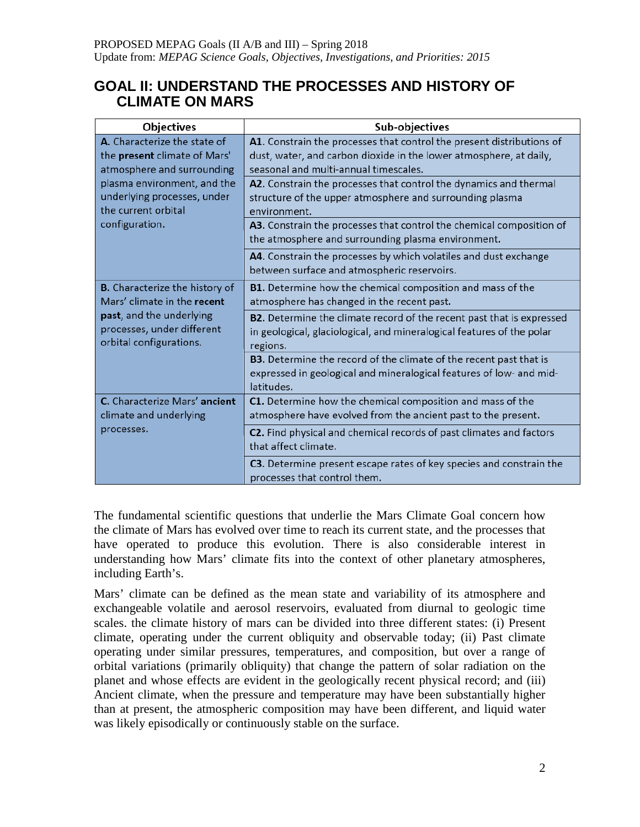# **GOAL II: UNDERSTAND THE PROCESSES AND HISTORY OF CLIMATE ON MARS**

| Objectives                                                                                                                                                                                        | Sub-objectives                                                                                                                                                                       |
|---------------------------------------------------------------------------------------------------------------------------------------------------------------------------------------------------|--------------------------------------------------------------------------------------------------------------------------------------------------------------------------------------|
| A. Characterize the state of<br>the present climate of Mars'<br>atmosphere and surrounding<br>plasma environment, and the<br>underlying processes, under<br>the current orbital<br>configuration. | A1. Constrain the processes that control the present distributions of<br>dust, water, and carbon dioxide in the lower atmosphere, at daily,<br>seasonal and multi-annual timescales. |
|                                                                                                                                                                                                   | A2. Constrain the processes that control the dynamics and thermal<br>structure of the upper atmosphere and surrounding plasma<br>environment.                                        |
|                                                                                                                                                                                                   | A3. Constrain the processes that control the chemical composition of<br>the atmosphere and surrounding plasma environment.                                                           |
|                                                                                                                                                                                                   | A4. Constrain the processes by which volatiles and dust exchange<br>between surface and atmospheric reservoirs.                                                                      |
| <b>B.</b> Characterize the history of<br>Mars' climate in the recent<br>past, and the underlying<br>processes, under different<br>orbital configurations.                                         | B1. Determine how the chemical composition and mass of the<br>atmosphere has changed in the recent past.                                                                             |
|                                                                                                                                                                                                   | B2. Determine the climate record of the recent past that is expressed<br>in geological, glaciological, and mineralogical features of the polar<br>regions.                           |
|                                                                                                                                                                                                   | B3. Determine the record of the climate of the recent past that is<br>expressed in geological and mineralogical features of low- and mid-<br>latitudes.                              |
| C. Characterize Mars' ancient<br>climate and underlying<br>processes.                                                                                                                             | C1. Determine how the chemical composition and mass of the<br>atmosphere have evolved from the ancient past to the present.                                                          |
|                                                                                                                                                                                                   | C2. Find physical and chemical records of past climates and factors<br>that affect climate.                                                                                          |
|                                                                                                                                                                                                   | C3. Determine present escape rates of key species and constrain the<br>processes that control them.                                                                                  |

The fundamental scientific questions that underlie the Mars Climate Goal concern how the climate of Mars has evolved over time to reach its current state, and the processes that have operated to produce this evolution. There is also considerable interest in understanding how Mars' climate fits into the context of other planetary atmospheres, including Earth's.

Mars' climate can be defined as the mean state and variability of its atmosphere and exchangeable volatile and aerosol reservoirs, evaluated from diurnal to geologic time scales. the climate history of mars can be divided into three different states: (i) Present climate, operating under the current obliquity and observable today; (ii) Past climate operating under similar pressures, temperatures, and composition, but over a range of orbital variations (primarily obliquity) that change the pattern of solar radiation on the planet and whose effects are evident in the geologically recent physical record; and (iii) Ancient climate, when the pressure and temperature may have been substantially higher than at present, the atmospheric composition may have been different, and liquid water was likely episodically or continuously stable on the surface.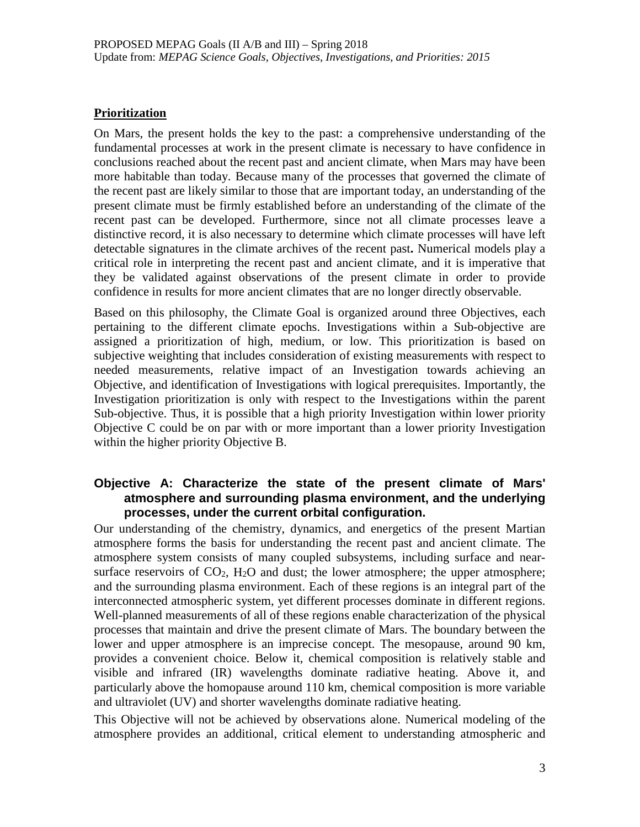### **Prioritization**

On Mars, the present holds the key to the past: a comprehensive understanding of the fundamental processes at work in the present climate is necessary to have confidence in conclusions reached about the recent past and ancient climate, when Mars may have been more habitable than today. Because many of the processes that governed the climate of the recent past are likely similar to those that are important today, an understanding of the present climate must be firmly established before an understanding of the climate of the recent past can be developed. Furthermore, since not all climate processes leave a distinctive record, it is also necessary to determine which climate processes will have left detectable signatures in the climate archives of the recent past**.** Numerical models play a critical role in interpreting the recent past and ancient climate, and it is imperative that they be validated against observations of the present climate in order to provide confidence in results for more ancient climates that are no longer directly observable.

Based on this philosophy, the Climate Goal is organized around three Objectives, each pertaining to the different climate epochs. Investigations within a Sub-objective are assigned a prioritization of high, medium, or low. This prioritization is based on subjective weighting that includes consideration of existing measurements with respect to needed measurements, relative impact of an Investigation towards achieving an Objective, and identification of Investigations with logical prerequisites. Importantly, the Investigation prioritization is only with respect to the Investigations within the parent Sub-objective. Thus, it is possible that a high priority Investigation within lower priority Objective C could be on par with or more important than a lower priority Investigation within the higher priority Objective B.

### **Objective A: Characterize the state of the present climate of Mars' atmosphere and surrounding plasma environment, and the underlying processes, under the current orbital configuration.**

Our understanding of the chemistry, dynamics, and energetics of the present Martian atmosphere forms the basis for understanding the recent past and ancient climate. The atmosphere system consists of many coupled subsystems, including surface and nearsurface reservoirs of  $CO<sub>2</sub>$ ,  $H<sub>2</sub>O$  and dust; the lower atmosphere; the upper atmosphere; and the surrounding plasma environment. Each of these regions is an integral part of the interconnected atmospheric system, yet different processes dominate in different regions. Well-planned measurements of all of these regions enable characterization of the physical processes that maintain and drive the present climate of Mars. The boundary between the lower and upper atmosphere is an imprecise concept. The mesopause, around 90 km, provides a convenient choice. Below it, chemical composition is relatively stable and visible and infrared (IR) wavelengths dominate radiative heating. Above it, and particularly above the homopause around 110 km, chemical composition is more variable and ultraviolet (UV) and shorter wavelengths dominate radiative heating.

This Objective will not be achieved by observations alone. Numerical modeling of the atmosphere provides an additional, critical element to understanding atmospheric and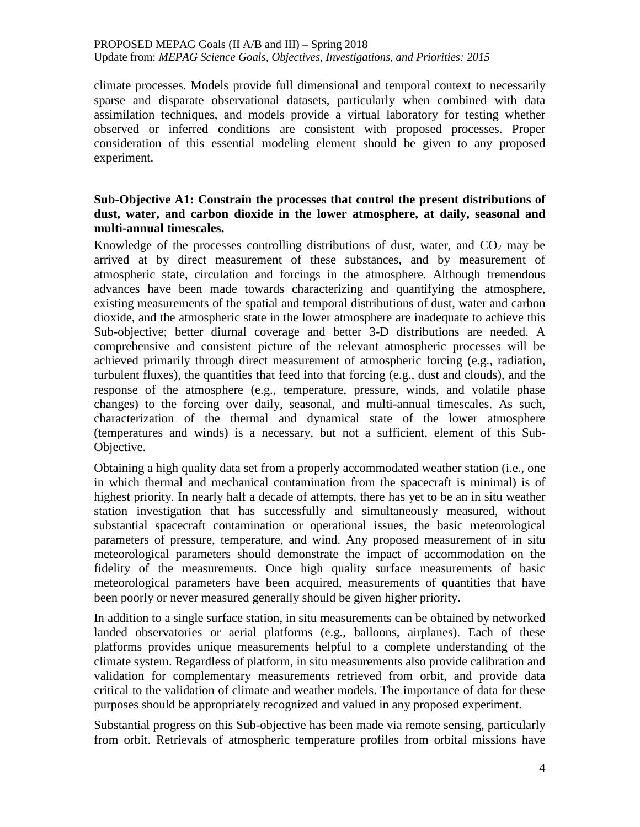climate processes. Models provide full dimensional and temporal context to necessarily sparse and disparate observational datasets, particularly when combined with data assimilation techniques, and models provide a virtual laboratory for testing whether observed or inferred conditions are consistent with proposed processes. Proper consideration of this essential modeling element should be given to any proposed experiment.

### **Sub-Objective A1: Constrain the processes that control the present distributions of dust, water, and carbon dioxide in the lower atmosphere, at daily, seasonal and multi-annual timescales.**

Knowledge of the processes controlling distributions of dust, water, and  $CO<sub>2</sub>$  may be arrived at by direct measurement of these substances, and by measurement of atmospheric state, circulation and forcings in the atmosphere. Although tremendous advances have been made towards characterizing and quantifying the atmosphere, existing measurements of the spatial and temporal distributions of dust, water and carbon dioxide, and the atmospheric state in the lower atmosphere are inadequate to achieve this Sub-objective; better diurnal coverage and better 3-D distributions are needed. A comprehensive and consistent picture of the relevant atmospheric processes will be achieved primarily through direct measurement of atmospheric forcing (e.g., radiation, turbulent fluxes), the quantities that feed into that forcing  $(e.g.,$  dust and clouds), and the response of the atmosphere (e.g., temperature, pressure, winds, and volatile phase changes) to the forcing over daily, seasonal, and multi-annual timescales. As such, characterization of the thermal and dynamical state of the lower atmosphere (temperatures and winds) is a necessary, but not a sufficient, element of this Sub-Objective.

Obtaining a high quality data set from a properly accommodated weather station (i.e., one in which thermal and mechanical contamination from the spacecraft is minimal) is of highest priority. In nearly half a decade of attempts, there has yet to be an in situ weather station investigation that has successfully and simultaneously measured, without substantial spacecraft contamination or operational issues, the basic meteorological parameters of pressure, temperature, and wind. Any proposed measurement of in situ meteorological parameters should demonstrate the impact of accommodation on the fidelity of the measurements. Once high quality surface measurements of basic meteorological parameters have been acquired, measurements of quantities that have been poorly or never measured generally should be given higher priority.

In addition to a single surface station, in situ measurements can be obtained by networked landed observatories or aerial platforms (e.g., balloons, airplanes). Each of these platforms provides unique measurements helpful to a complete understanding of the climate system. Regardless of platform, in situ measurements also provide calibration and validation for complementary measurements retrieved from orbit, and provide data critical to the validation of climate and weather models. The importance of data for these purposes should be appropriately recognized and valued in any proposed experiment.

Substantial progress on this Sub-objective has been made via remote sensing, particularly from orbit. Retrievals of atmospheric temperature profiles from orbital missions have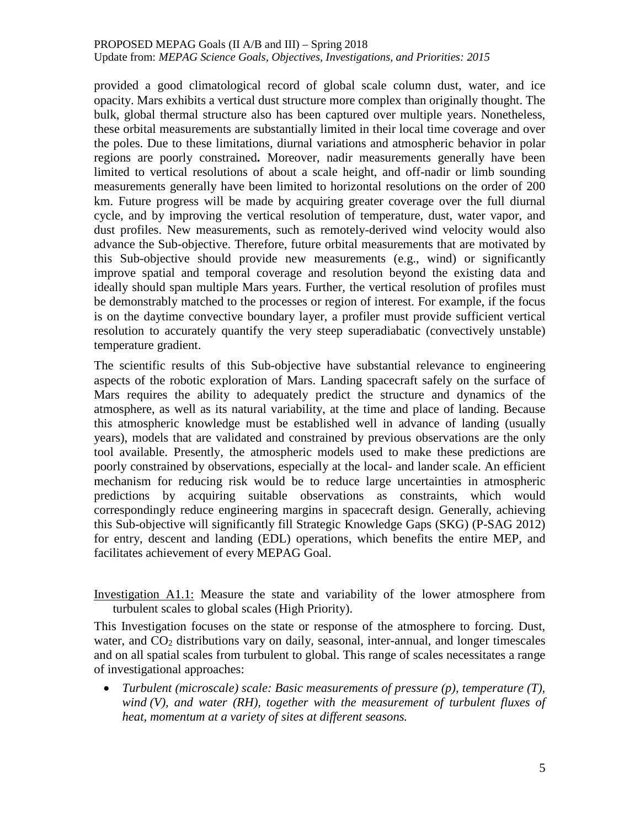### PROPOSED MEPAG Goals (II A/B and III) – Spring 2018

Update from: *MEPAG Science Goals, Objectives, Investigations, and Priorities: 2015*

provided a good climatological record of global scale column dust, water, and ice opacity. Mars exhibits a vertical dust structure more complex than originally thought. The bulk, global thermal structure also has been captured over multiple years. Nonetheless, these orbital measurements are substantially limited in their local time coverage and over the poles. Due to these limitations, diurnal variations and atmospheric behavior in polar regions are poorly constrained**.** Moreover, nadir measurements generally have been limited to vertical resolutions of about a scale height, and off-nadir or limb sounding measurements generally have been limited to horizontal resolutions on the order of 200 km. Future progress will be made by acquiring greater coverage over the full diurnal cycle, and by improving the vertical resolution of temperature, dust, water vapor, and dust profiles. New measurements, such as remotely-derived wind velocity would also advance the Sub-objective. Therefore, future orbital measurements that are motivated by this Sub-objective should provide new measurements (e.g., wind) or significantly improve spatial and temporal coverage and resolution beyond the existing data and ideally should span multiple Mars years. Further, the vertical resolution of profiles must be demonstrably matched to the processes or region of interest. For example, if the focus is on the daytime convective boundary layer, a profiler must provide sufficient vertical resolution to accurately quantify the very steep superadiabatic (convectively unstable) temperature gradient.

The scientific results of this Sub-objective have substantial relevance to engineering aspects of the robotic exploration of Mars. Landing spacecraft safely on the surface of Mars requires the ability to adequately predict the structure and dynamics of the atmosphere, as well as its natural variability, at the time and place of landing. Because this atmospheric knowledge must be established well in advance of landing (usually years), models that are validated and constrained by previous observations are the only tool available. Presently, the atmospheric models used to make these predictions are poorly constrained by observations, especially at the local- and lander scale. An efficient mechanism for reducing risk would be to reduce large uncertainties in atmospheric predictions by acquiring suitable observations as constraints, which would correspondingly reduce engineering margins in spacecraft design. Generally, achieving this Sub-objective will significantly fill Strategic Knowledge Gaps (SKG) (P-SAG 2012) for entry, descent and landing (EDL) operations, which benefits the entire MEP, and facilitates achievement of every MEPAG Goal.

Investigation A1.1: Measure the state and variability of the lower atmosphere from turbulent scales to global scales (High Priority).

This Investigation focuses on the state or response of the atmosphere to forcing. Dust, water, and CO<sub>2</sub> distributions vary on daily, seasonal, inter-annual, and longer timescales and on all spatial scales from turbulent to global. This range of scales necessitates a range of investigational approaches:

• *Turbulent (microscale) scale: Basic measurements of pressure (p), temperature (T), wind (V), and water (RH), together with the measurement of turbulent fluxes of heat, momentum at a variety of sites at different seasons.*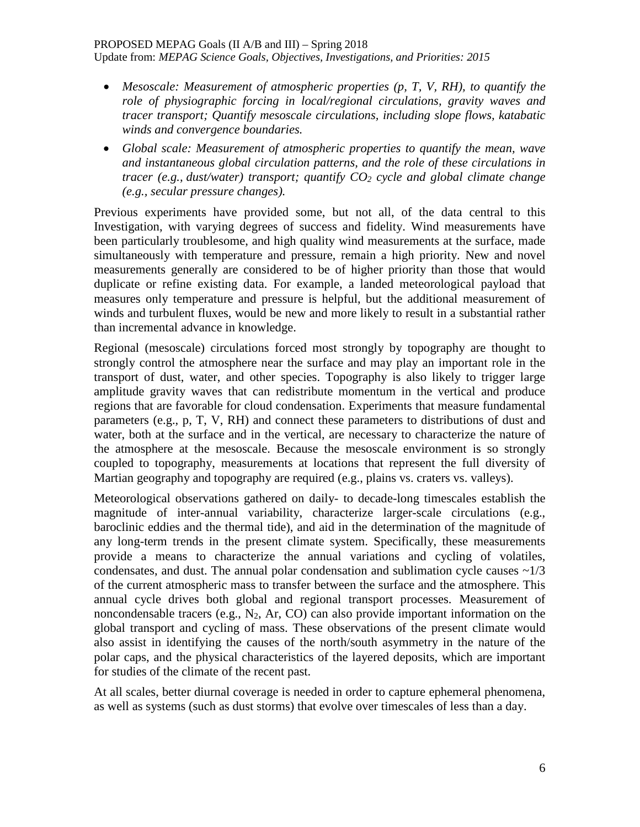#### PROPOSED MEPAG Goals (II A/B and III) – Spring 2018

Update from: *MEPAG Science Goals, Objectives, Investigations, and Priorities: 2015*

- *Mesoscale: Measurement of atmospheric properties (p, T, V, RH), to quantify the role of physiographic forcing in local/regional circulations, gravity waves and tracer transport; Quantify mesoscale circulations, including slope flows, katabatic winds and convergence boundaries.*
- *Global scale: Measurement of atmospheric properties to quantify the mean, wave and instantaneous global circulation patterns, and the role of these circulations in tracer (e.g., dust/water) transport; quantify CO2 cycle and global climate change (e.g., secular pressure changes).*

Previous experiments have provided some, but not all, of the data central to this Investigation, with varying degrees of success and fidelity. Wind measurements have been particularly troublesome, and high quality wind measurements at the surface, made simultaneously with temperature and pressure, remain a high priority. New and novel measurements generally are considered to be of higher priority than those that would duplicate or refine existing data. For example, a landed meteorological payload that measures only temperature and pressure is helpful, but the additional measurement of winds and turbulent fluxes, would be new and more likely to result in a substantial rather than incremental advance in knowledge.

Regional (mesoscale) circulations forced most strongly by topography are thought to strongly control the atmosphere near the surface and may play an important role in the transport of dust, water, and other species. Topography is also likely to trigger large amplitude gravity waves that can redistribute momentum in the vertical and produce regions that are favorable for cloud condensation. Experiments that measure fundamental parameters (e.g., p, T, V, RH) and connect these parameters to distributions of dust and water, both at the surface and in the vertical, are necessary to characterize the nature of the atmosphere at the mesoscale. Because the mesoscale environment is so strongly coupled to topography, measurements at locations that represent the full diversity of Martian geography and topography are required (e.g., plains vs. craters vs. valleys).

Meteorological observations gathered on daily- to decade-long timescales establish the magnitude of inter-annual variability, characterize larger-scale circulations (e.g., baroclinic eddies and the thermal tide), and aid in the determination of the magnitude of any long-term trends in the present climate system. Specifically, these measurements provide a means to characterize the annual variations and cycling of volatiles, condensates, and dust. The annual polar condensation and sublimation cycle causes  $\sim$ 1/3 of the current atmospheric mass to transfer between the surface and the atmosphere. This annual cycle drives both global and regional transport processes. Measurement of noncondensable tracers (e.g.,  $N_2$ , Ar, CO) can also provide important information on the global transport and cycling of mass. These observations of the present climate would also assist in identifying the causes of the north/south asymmetry in the nature of the polar caps, and the physical characteristics of the layered deposits, which are important for studies of the climate of the recent past.

At all scales, better diurnal coverage is needed in order to capture ephemeral phenomena, as well as systems (such as dust storms) that evolve over timescales of less than a day.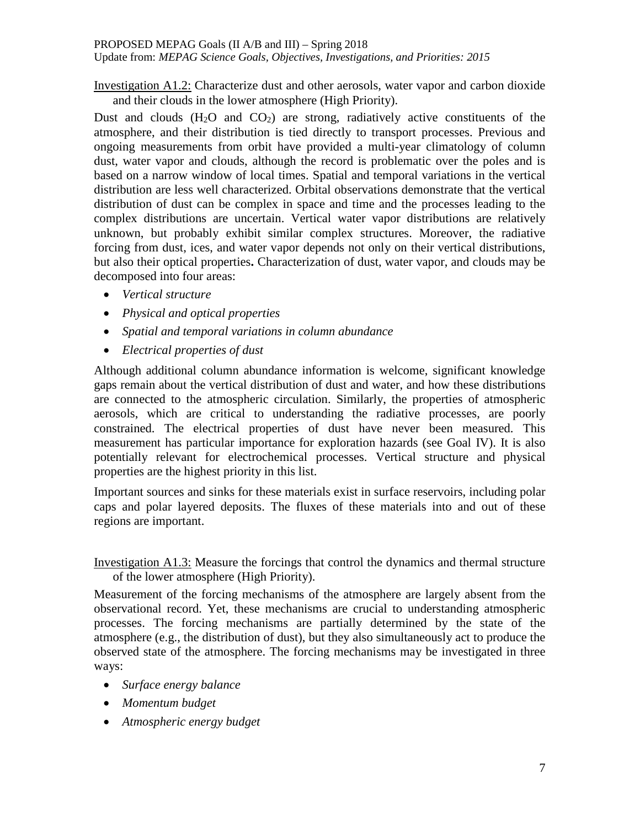Investigation A1.2: Characterize dust and other aerosols, water vapor and carbon dioxide

and their clouds in the lower atmosphere (High Priority). Dust and clouds  $(H_2O)$  and  $CO_2$ ) are strong, radiatively active constituents of the atmosphere, and their distribution is tied directly to transport processes. Previous and ongoing measurements from orbit have provided a multi-year climatology of column dust, water vapor and clouds, although the record is problematic over the poles and is based on a narrow window of local times. Spatial and temporal variations in the vertical distribution are less well characterized. Orbital observations demonstrate that the vertical distribution of dust can be complex in space and time and the processes leading to the complex distributions are uncertain. Vertical water vapor distributions are relatively unknown, but probably exhibit similar complex structures. Moreover, the radiative forcing from dust, ices, and water vapor depends not only on their vertical distributions, but also their optical properties**.** Characterization of dust, water vapor, and clouds may be decomposed into four areas:

- *Vertical structure*
- *Physical and optical properties*
- *Spatial and temporal variations in column abundance*
- *Electrical properties of dust*

Although additional column abundance information is welcome, significant knowledge gaps remain about the vertical distribution of dust and water, and how these distributions are connected to the atmospheric circulation. Similarly, the properties of atmospheric aerosols, which are critical to understanding the radiative processes, are poorly constrained. The electrical properties of dust have never been measured. This measurement has particular importance for exploration hazards (see Goal IV). It is also potentially relevant for electrochemical processes. Vertical structure and physical properties are the highest priority in this list.

Important sources and sinks for these materials exist in surface reservoirs, including polar caps and polar layered deposits. The fluxes of these materials into and out of these regions are important.

Investigation A1.3: Measure the forcings that control the dynamics and thermal structure of the lower atmosphere (High Priority).

Measurement of the forcing mechanisms of the atmosphere are largely absent from the observational record. Yet, these mechanisms are crucial to understanding atmospheric processes. The forcing mechanisms are partially determined by the state of the atmosphere (e.g., the distribution of dust), but they also simultaneously act to produce the observed state of the atmosphere. The forcing mechanisms may be investigated in three ways:

- *Surface energy balance*
- *Momentum budget*
- *Atmospheric energy budget*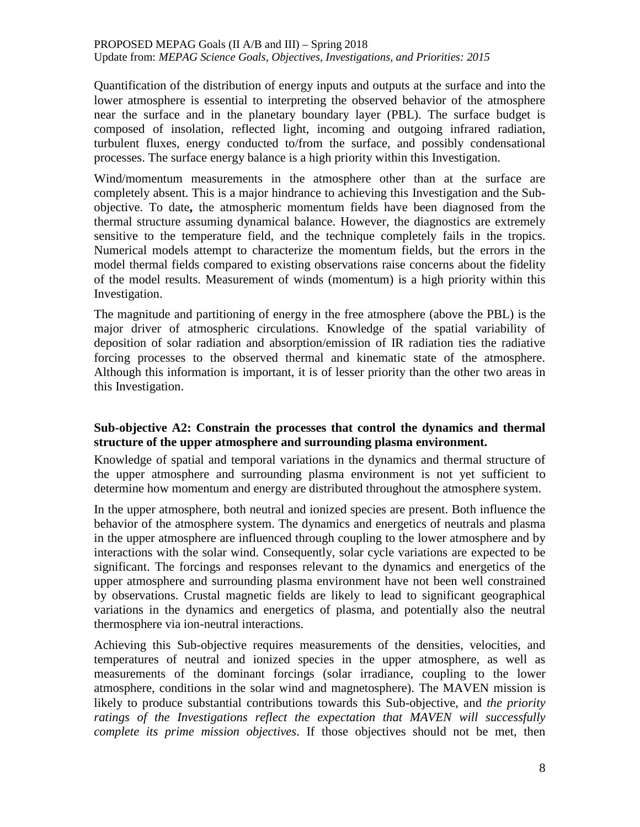Quantification of the distribution of energy inputs and outputs at the surface and into the lower atmosphere is essential to interpreting the observed behavior of the atmosphere near the surface and in the planetary boundary layer (PBL). The surface budget is composed of insolation, reflected light, incoming and outgoing infrared radiation, turbulent fluxes, energy conducted to/from the surface, and possibly condensational processes. The surface energy balance is a high priority within this Investigation.

Wind/momentum measurements in the atmosphere other than at the surface are completely absent. This is a major hindrance to achieving this Investigation and the Subobjective. To date**,** the atmospheric momentum fields have been diagnosed from the thermal structure assuming dynamical balance. However, the diagnostics are extremely sensitive to the temperature field, and the technique completely fails in the tropics. Numerical models attempt to characterize the momentum fields, but the errors in the model thermal fields compared to existing observations raise concerns about the fidelity of the model results. Measurement of winds (momentum) is a high priority within this Investigation.

The magnitude and partitioning of energy in the free atmosphere (above the PBL) is the major driver of atmospheric circulations. Knowledge of the spatial variability of deposition of solar radiation and absorption/emission of IR radiation ties the radiative forcing processes to the observed thermal and kinematic state of the atmosphere. Although this information is important, it is of lesser priority than the other two areas in this Investigation.

### **Sub-objective A2: Constrain the processes that control the dynamics and thermal structure of the upper atmosphere and surrounding plasma environment.**

Knowledge of spatial and temporal variations in the dynamics and thermal structure of the upper atmosphere and surrounding plasma environment is not yet sufficient to determine how momentum and energy are distributed throughout the atmosphere system.

In the upper atmosphere, both neutral and ionized species are present. Both influence the behavior of the atmosphere system. The dynamics and energetics of neutrals and plasma in the upper atmosphere are influenced through coupling to the lower atmosphere and by interactions with the solar wind. Consequently, solar cycle variations are expected to be significant. The forcings and responses relevant to the dynamics and energetics of the upper atmosphere and surrounding plasma environment have not been well constrained by observations. Crustal magnetic fields are likely to lead to significant geographical variations in the dynamics and energetics of plasma, and potentially also the neutral thermosphere via ion-neutral interactions.

Achieving this Sub-objective requires measurements of the densities, velocities, and temperatures of neutral and ionized species in the upper atmosphere, as well as measurements of the dominant forcings (solar irradiance, coupling to the lower atmosphere, conditions in the solar wind and magnetosphere). The MAVEN mission is likely to produce substantial contributions towards this Sub-objective, and *the priority*  ratings of the Investigations reflect the expectation that MAVEN will successfully *complete its prime mission objectives*. If those objectives should not be met, then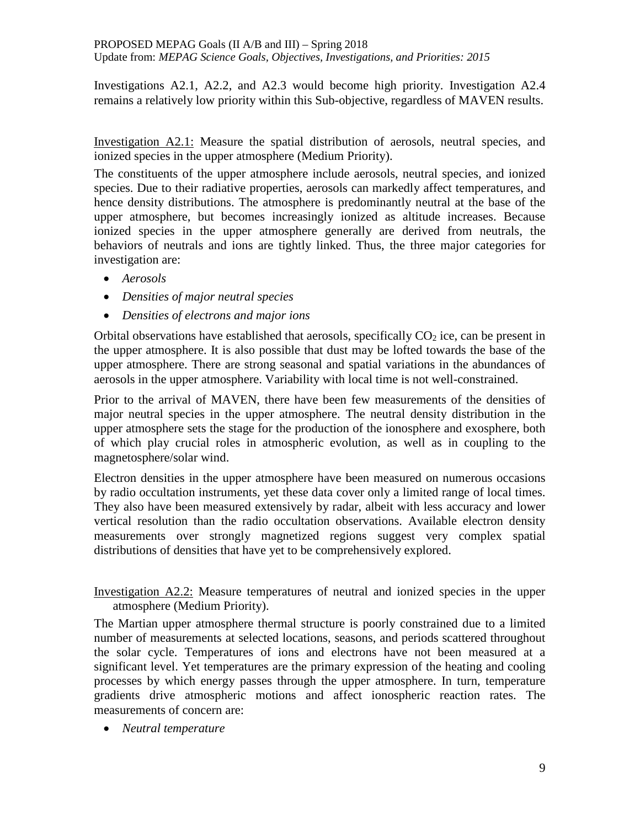Investigations A2.1, A2.2, and A2.3 would become high priority. Investigation A2.4 remains a relatively low priority within this Sub-objective, regardless of MAVEN results.

Investigation A2.1: Measure the spatial distribution of aerosols, neutral species, and ionized species in the upper atmosphere (Medium Priority).

The constituents of the upper atmosphere include aerosols, neutral species, and ionized species. Due to their radiative properties, aerosols can markedly affect temperatures, and hence density distributions. The atmosphere is predominantly neutral at the base of the upper atmosphere, but becomes increasingly ionized as altitude increases. Because ionized species in the upper atmosphere generally are derived from neutrals, the behaviors of neutrals and ions are tightly linked. Thus, the three major categories for investigation are:

- *Aerosols*
- *Densities of major neutral species*
- *Densities of electrons and major ions*

Orbital observations have established that aerosols, specifically  $CO<sub>2</sub>$  ice, can be present in the upper atmosphere. It is also possible that dust may be lofted towards the base of the upper atmosphere. There are strong seasonal and spatial variations in the abundances of aerosols in the upper atmosphere. Variability with local time is not well-constrained.

Prior to the arrival of MAVEN, there have been few measurements of the densities of major neutral species in the upper atmosphere. The neutral density distribution in the upper atmosphere sets the stage for the production of the ionosphere and exosphere, both of which play crucial roles in atmospheric evolution, as well as in coupling to the magnetosphere/solar wind.

Electron densities in the upper atmosphere have been measured on numerous occasions by radio occultation instruments, yet these data cover only a limited range of local times. They also have been measured extensively by radar, albeit with less accuracy and lower vertical resolution than the radio occultation observations. Available electron density measurements over strongly magnetized regions suggest very complex spatial distributions of densities that have yet to be comprehensively explored.

Investigation A2.2: Measure temperatures of neutral and ionized species in the upper atmosphere (Medium Priority).

The Martian upper atmosphere thermal structure is poorly constrained due to a limited number of measurements at selected locations, seasons, and periods scattered throughout the solar cycle. Temperatures of ions and electrons have not been measured at a significant level. Yet temperatures are the primary expression of the heating and cooling processes by which energy passes through the upper atmosphere. In turn, temperature gradients drive atmospheric motions and affect ionospheric reaction rates. The measurements of concern are:

• *Neutral temperature*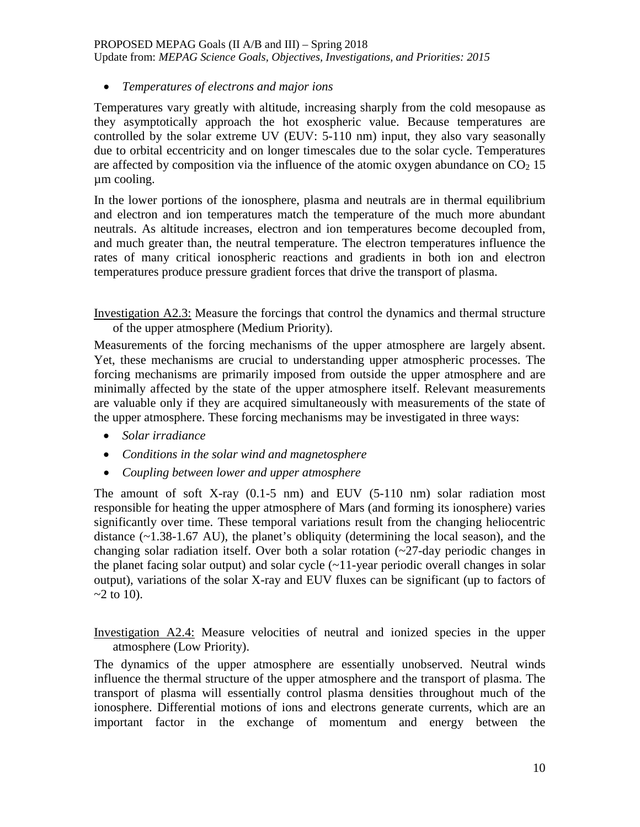#### PROPOSED MEPAG Goals (II A/B and III) – Spring 2018

Update from: *MEPAG Science Goals, Objectives, Investigations, and Priorities: 2015*

• *Temperatures of electrons and major ions*

Temperatures vary greatly with altitude, increasing sharply from the cold mesopause as they asymptotically approach the hot exospheric value. Because temperatures are controlled by the solar extreme UV (EUV: 5-110 nm) input, they also vary seasonally due to orbital eccentricity and on longer timescales due to the solar cycle. Temperatures are affected by composition via the influence of the atomic oxygen abundance on  $CO<sub>2</sub> 15$ µm cooling.

In the lower portions of the ionosphere, plasma and neutrals are in thermal equilibrium and electron and ion temperatures match the temperature of the much more abundant neutrals. As altitude increases, electron and ion temperatures become decoupled from, and much greater than, the neutral temperature. The electron temperatures influence the rates of many critical ionospheric reactions and gradients in both ion and electron temperatures produce pressure gradient forces that drive the transport of plasma.

Investigation A2.3: Measure the forcings that control the dynamics and thermal structure of the upper atmosphere (Medium Priority).

Measurements of the forcing mechanisms of the upper atmosphere are largely absent. Yet, these mechanisms are crucial to understanding upper atmospheric processes. The forcing mechanisms are primarily imposed from outside the upper atmosphere and are minimally affected by the state of the upper atmosphere itself. Relevant measurements are valuable only if they are acquired simultaneously with measurements of the state of the upper atmosphere. These forcing mechanisms may be investigated in three ways:

- *Solar irradiance*
- *Conditions in the solar wind and magnetosphere*
- *Coupling between lower and upper atmosphere*

The amount of soft X-ray (0.1-5 nm) and EUV (5-110 nm) solar radiation most responsible for heating the upper atmosphere of Mars (and forming its ionosphere) varies significantly over time. These temporal variations result from the changing heliocentric distance (~1.38-1.67 AU), the planet's obliquity (determining the local season), and the changing solar radiation itself. Over both a solar rotation (~27-day periodic changes in the planet facing solar output) and solar cycle  $(\sim 11$ -year periodic overall changes in solar output), variations of the solar X-ray and EUV fluxes can be significant (up to factors of  $-2$  to 10).

Investigation A2.4: Measure velocities of neutral and ionized species in the upper atmosphere (Low Priority).

The dynamics of the upper atmosphere are essentially unobserved. Neutral winds influence the thermal structure of the upper atmosphere and the transport of plasma. The transport of plasma will essentially control plasma densities throughout much of the ionosphere. Differential motions of ions and electrons generate currents, which are an important factor in the exchange of momentum and energy between the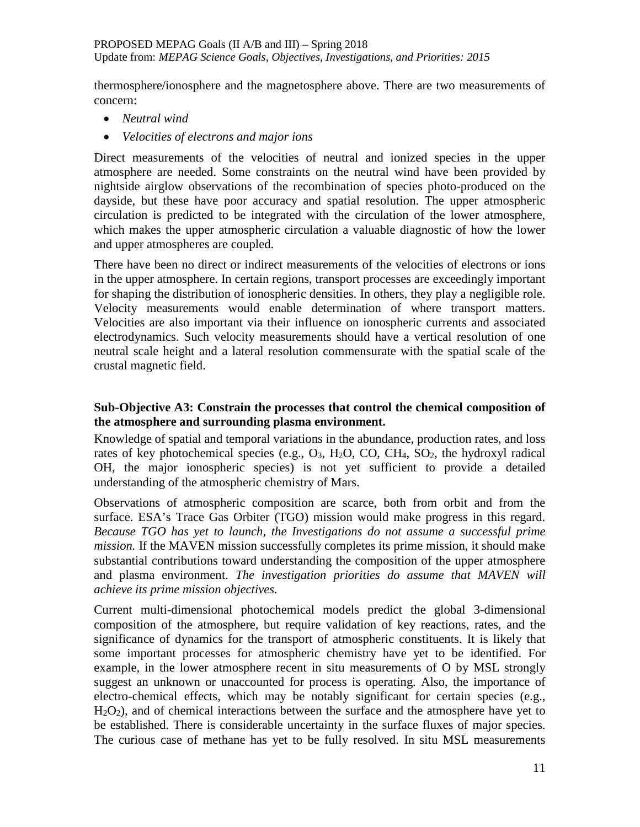thermosphere/ionosphere and the magnetosphere above. There are two measurements of concern:

- *Neutral wind*
- *Velocities of electrons and major ions*

Direct measurements of the velocities of neutral and ionized species in the upper atmosphere are needed. Some constraints on the neutral wind have been provided by nightside airglow observations of the recombination of species photo-produced on the dayside, but these have poor accuracy and spatial resolution. The upper atmospheric circulation is predicted to be integrated with the circulation of the lower atmosphere, which makes the upper atmospheric circulation a valuable diagnostic of how the lower and upper atmospheres are coupled.

There have been no direct or indirect measurements of the velocities of electrons or ions in the upper atmosphere. In certain regions, transport processes are exceedingly important for shaping the distribution of ionospheric densities. In others, they play a negligible role. Velocity measurements would enable determination of where transport matters. Velocities are also important via their influence on ionospheric currents and associated electrodynamics. Such velocity measurements should have a vertical resolution of one neutral scale height and a lateral resolution commensurate with the spatial scale of the crustal magnetic field.

### **Sub-Objective A3: Constrain the processes that control the chemical composition of the atmosphere and surrounding plasma environment.**

Knowledge of spatial and temporal variations in the abundance, production rates, and loss rates of key photochemical species (e.g.,  $O_3$ ,  $H_2O$ ,  $CO$ ,  $CH_4$ ,  $SO_2$ , the hydroxyl radical OH, the major ionospheric species) is not yet sufficient to provide a detailed understanding of the atmospheric chemistry of Mars.

Observations of atmospheric composition are scarce, both from orbit and from the surface. ESA's Trace Gas Orbiter (TGO) mission would make progress in this regard. *Because TGO has yet to launch, the Investigations do not assume a successful prime mission.* If the MAVEN mission successfully completes its prime mission, it should make substantial contributions toward understanding the composition of the upper atmosphere and plasma environment. *The investigation priorities do assume that MAVEN will achieve its prime mission objectives.*

Current multi-dimensional photochemical models predict the global 3-dimensional composition of the atmosphere, but require validation of key reactions, rates, and the significance of dynamics for the transport of atmospheric constituents. It is likely that some important processes for atmospheric chemistry have yet to be identified. For example, in the lower atmosphere recent in situ measurements of O by MSL strongly suggest an unknown or unaccounted for process is operating. Also, the importance of electro-chemical effects, which may be notably significant for certain species (e.g., H2O2), and of chemical interactions between the surface and the atmosphere have yet to be established. There is considerable uncertainty in the surface fluxes of major species. The curious case of methane has yet to be fully resolved. In situ MSL measurements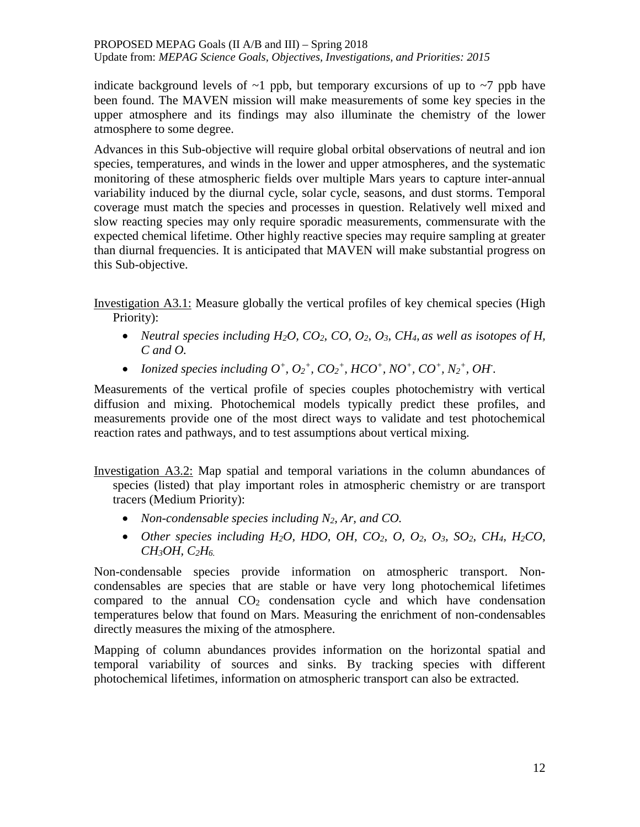indicate background levels of  $\sim$ 1 ppb, but temporary excursions of up to  $\sim$ 7 ppb have been found. The MAVEN mission will make measurements of some key species in the upper atmosphere and its findings may also illuminate the chemistry of the lower atmosphere to some degree.

Advances in this Sub-objective will require global orbital observations of neutral and ion species, temperatures, and winds in the lower and upper atmospheres, and the systematic monitoring of these atmospheric fields over multiple Mars years to capture inter-annual variability induced by the diurnal cycle, solar cycle, seasons, and dust storms. Temporal coverage must match the species and processes in question. Relatively well mixed and slow reacting species may only require sporadic measurements, commensurate with the expected chemical lifetime. Other highly reactive species may require sampling at greater than diurnal frequencies. It is anticipated that MAVEN will make substantial progress on this Sub-objective.

Investigation A3.1: Measure globally the vertical profiles of key chemical species (High Priority):

- *Neutral species including H<sub>2</sub>O, CO<sub>2</sub>, CO, O<sub>2</sub>, O<sub>3</sub>, CH<sub>4</sub>, as well as isotopes of H, C and O.*
- *Ionized species including*  $O^+$ ,  $O_2^+$ ,  $CO_2^+$ ,  $HCO^+$ ,  $NO^+$ ,  $CO^+$ ,  $N_2^+$ ,  $OH$ .

Measurements of the vertical profile of species couples photochemistry with vertical diffusion and mixing. Photochemical models typically predict these profiles, and measurements provide one of the most direct ways to validate and test photochemical reaction rates and pathways, and to test assumptions about vertical mixing.

Investigation A3.2: Map spatial and temporal variations in the column abundances of species (listed) that play important roles in atmospheric chemistry or are transport tracers (Medium Priority):

- *Non-condensable species including N2, Ar, and CO.*
- *Other species including H<sub>2</sub>O, HDO, OH, CO<sub>2</sub>, O, O<sub>2</sub>, O<sub>3</sub>, SO<sub>2</sub>, CH<sub>4</sub>, H<sub>2</sub>CO, CH3OH, C2H6.*

Non-condensable species provide information on atmospheric transport. Noncondensables are species that are stable or have very long photochemical lifetimes compared to the annual  $CO<sub>2</sub>$  condensation cycle and which have condensation temperatures below that found on Mars. Measuring the enrichment of non-condensables directly measures the mixing of the atmosphere.

Mapping of column abundances provides information on the horizontal spatial and temporal variability of sources and sinks. By tracking species with different photochemical lifetimes, information on atmospheric transport can also be extracted.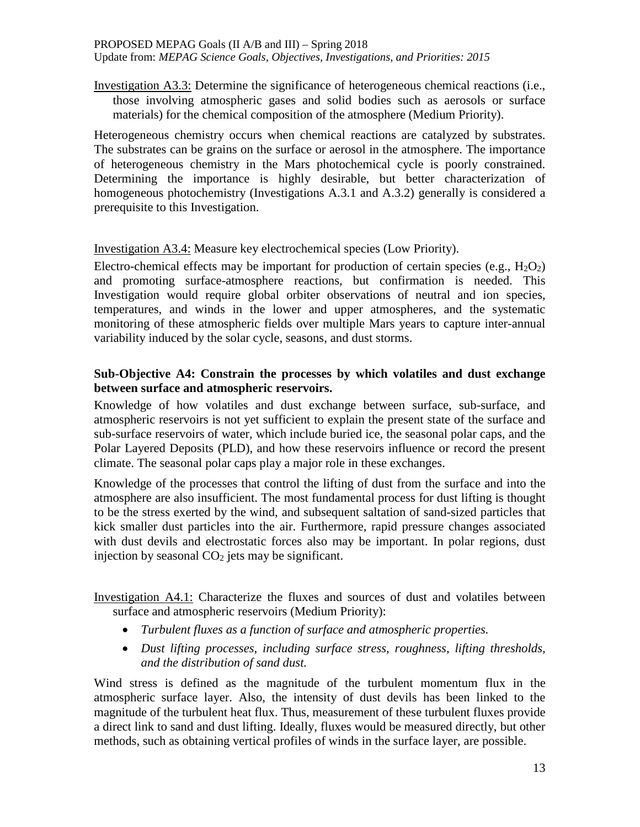Investigation A3.3: Determine the significance of heterogeneous chemical reactions (i.e., those involving atmospheric gases and solid bodies such as aerosols or surface materials) for the chemical composition of the atmosphere (Medium Priority).

Heterogeneous chemistry occurs when chemical reactions are catalyzed by substrates. The substrates can be grains on the surface or aerosol in the atmosphere. The importance of heterogeneous chemistry in the Mars photochemical cycle is poorly constrained. Determining the importance is highly desirable, but better characterization of homogeneous photochemistry (Investigations A.3.1 and A.3.2) generally is considered a prerequisite to this Investigation.

### Investigation A3.4: Measure key electrochemical species (Low Priority).

Electro-chemical effects may be important for production of certain species (e.g.,  $H_2O_2$ ) and promoting surface-atmosphere reactions, but confirmation is needed. This Investigation would require global orbiter observations of neutral and ion species, temperatures, and winds in the lower and upper atmospheres, and the systematic monitoring of these atmospheric fields over multiple Mars years to capture inter-annual variability induced by the solar cycle, seasons, and dust storms.

### **Sub-Objective A4: Constrain the processes by which volatiles and dust exchange between surface and atmospheric reservoirs.**

Knowledge of how volatiles and dust exchange between surface, sub-surface, and atmospheric reservoirs is not yet sufficient to explain the present state of the surface and sub-surface reservoirs of water, which include buried ice, the seasonal polar caps, and the Polar Layered Deposits (PLD), and how these reservoirs influence or record the present climate. The seasonal polar caps play a major role in these exchanges.

Knowledge of the processes that control the lifting of dust from the surface and into the atmosphere are also insufficient. The most fundamental process for dust lifting is thought to be the stress exerted by the wind, and subsequent saltation of sand-sized particles that kick smaller dust particles into the air. Furthermore, rapid pressure changes associated with dust devils and electrostatic forces also may be important. In polar regions, dust injection by seasonal  $CO<sub>2</sub>$  jets may be significant.

### Investigation A4.1: Characterize the fluxes and sources of dust and volatiles between surface and atmospheric reservoirs (Medium Priority):

- *Turbulent fluxes as a function of surface and atmospheric properties.*
- *Dust lifting processes, including surface stress, roughness, lifting thresholds, and the distribution of sand dust.*

Wind stress is defined as the magnitude of the turbulent momentum flux in the atmospheric surface layer. Also, the intensity of dust devils has been linked to the magnitude of the turbulent heat flux. Thus, measurement of these turbulent fluxes provide a direct link to sand and dust lifting. Ideally, fluxes would be measured directly, but other methods, such as obtaining vertical profiles of winds in the surface layer, are possible.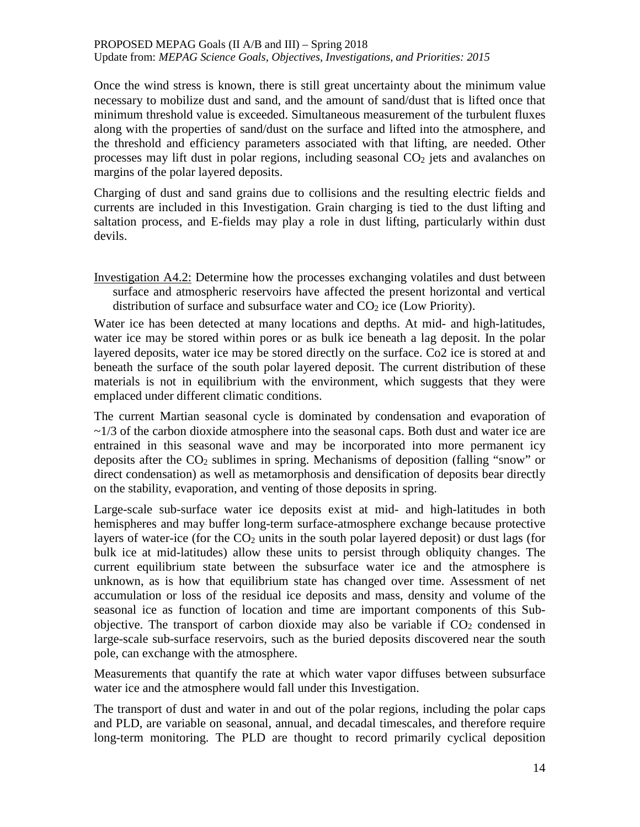Once the wind stress is known, there is still great uncertainty about the minimum value necessary to mobilize dust and sand, and the amount of sand/dust that is lifted once that minimum threshold value is exceeded. Simultaneous measurement of the turbulent fluxes along with the properties of sand/dust on the surface and lifted into the atmosphere, and the threshold and efficiency parameters associated with that lifting, are needed. Other processes may lift dust in polar regions, including seasonal  $CO<sub>2</sub>$  jets and avalanches on margins of the polar layered deposits.

Charging of dust and sand grains due to collisions and the resulting electric fields and currents are included in this Investigation. Grain charging is tied to the dust lifting and saltation process, and E-fields may play a role in dust lifting, particularly within dust devils.

Investigation A4.2: Determine how the processes exchanging volatiles and dust between surface and atmospheric reservoirs have affected the present horizontal and vertical distribution of surface and subsurface water and  $CO<sub>2</sub>$  ice (Low Priority).

Water ice has been detected at many locations and depths. At mid- and high-latitudes, water ice may be stored within pores or as bulk ice beneath a lag deposit. In the polar layered deposits, water ice may be stored directly on the surface. Co2 ice is stored at and beneath the surface of the south polar layered deposit. The current distribution of these materials is not in equilibrium with the environment, which suggests that they were emplaced under different climatic conditions.

The current Martian seasonal cycle is dominated by condensation and evaporation of  $\sim$ 1/3 of the carbon dioxide atmosphere into the seasonal caps. Both dust and water ice are entrained in this seasonal wave and may be incorporated into more permanent icy deposits after the CO2 sublimes in spring. Mechanisms of deposition (falling "snow" or direct condensation) as well as metamorphosis and densification of deposits bear directly on the stability, evaporation, and venting of those deposits in spring.

Large-scale sub-surface water ice deposits exist at mid- and high-latitudes in both hemispheres and may buffer long-term surface-atmosphere exchange because protective layers of water-ice (for the  $CO<sub>2</sub>$  units in the south polar layered deposit) or dust lags (for bulk ice at mid-latitudes) allow these units to persist through obliquity changes. The current equilibrium state between the subsurface water ice and the atmosphere is unknown, as is how that equilibrium state has changed over time. Assessment of net accumulation or loss of the residual ice deposits and mass, density and volume of the seasonal ice as function of location and time are important components of this Subobjective. The transport of carbon dioxide may also be variable if  $CO<sub>2</sub>$  condensed in large-scale sub-surface reservoirs, such as the buried deposits discovered near the south pole, can exchange with the atmosphere.

Measurements that quantify the rate at which water vapor diffuses between subsurface water ice and the atmosphere would fall under this Investigation.

The transport of dust and water in and out of the polar regions, including the polar caps and PLD, are variable on seasonal, annual, and decadal timescales, and therefore require long-term monitoring. The PLD are thought to record primarily cyclical deposition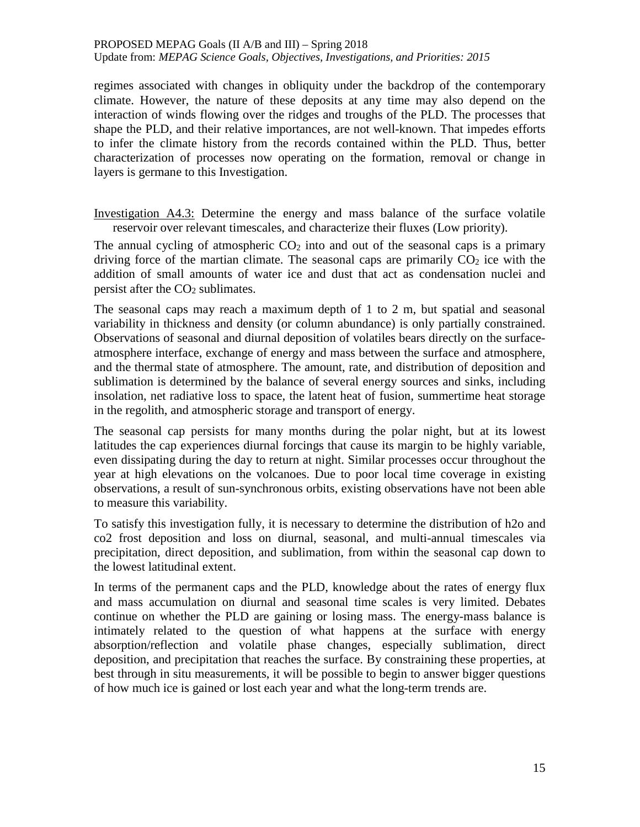regimes associated with changes in obliquity under the backdrop of the contemporary climate. However, the nature of these deposits at any time may also depend on the interaction of winds flowing over the ridges and troughs of the PLD. The processes that shape the PLD, and their relative importances, are not well-known. That impedes efforts to infer the climate history from the records contained within the PLD. Thus, better characterization of processes now operating on the formation, removal or change in layers is germane to this Investigation.

Investigation A4.3: Determine the energy and mass balance of the surface volatile reservoir over relevant timescales, and characterize their fluxes (Low priority).

The annual cycling of atmospheric  $CO<sub>2</sub>$  into and out of the seasonal caps is a primary driving force of the martian climate. The seasonal caps are primarily  $CO<sub>2</sub>$  ice with the addition of small amounts of water ice and dust that act as condensation nuclei and persist after the  $CO<sub>2</sub>$  sublimates.

The seasonal caps may reach a maximum depth of 1 to 2 m, but spatial and seasonal variability in thickness and density (or column abundance) is only partially constrained. Observations of seasonal and diurnal deposition of volatiles bears directly on the surfaceatmosphere interface, exchange of energy and mass between the surface and atmosphere, and the thermal state of atmosphere. The amount, rate, and distribution of deposition and sublimation is determined by the balance of several energy sources and sinks, including insolation, net radiative loss to space, the latent heat of fusion, summertime heat storage in the regolith, and atmospheric storage and transport of energy.

The seasonal cap persists for many months during the polar night, but at its lowest latitudes the cap experiences diurnal forcings that cause its margin to be highly variable, even dissipating during the day to return at night. Similar processes occur throughout the year at high elevations on the volcanoes. Due to poor local time coverage in existing observations, a result of sun-synchronous orbits, existing observations have not been able to measure this variability.

To satisfy this investigation fully, it is necessary to determine the distribution of h2o and co2 frost deposition and loss on diurnal, seasonal, and multi-annual timescales via precipitation, direct deposition, and sublimation, from within the seasonal cap down to the lowest latitudinal extent.

In terms of the permanent caps and the PLD, knowledge about the rates of energy flux and mass accumulation on diurnal and seasonal time scales is very limited. Debates continue on whether the PLD are gaining or losing mass. The energy-mass balance is intimately related to the question of what happens at the surface with energy absorption/reflection and volatile phase changes, especially sublimation, direct deposition, and precipitation that reaches the surface. By constraining these properties, at best through in situ measurements, it will be possible to begin to answer bigger questions of how much ice is gained or lost each year and what the long-term trends are.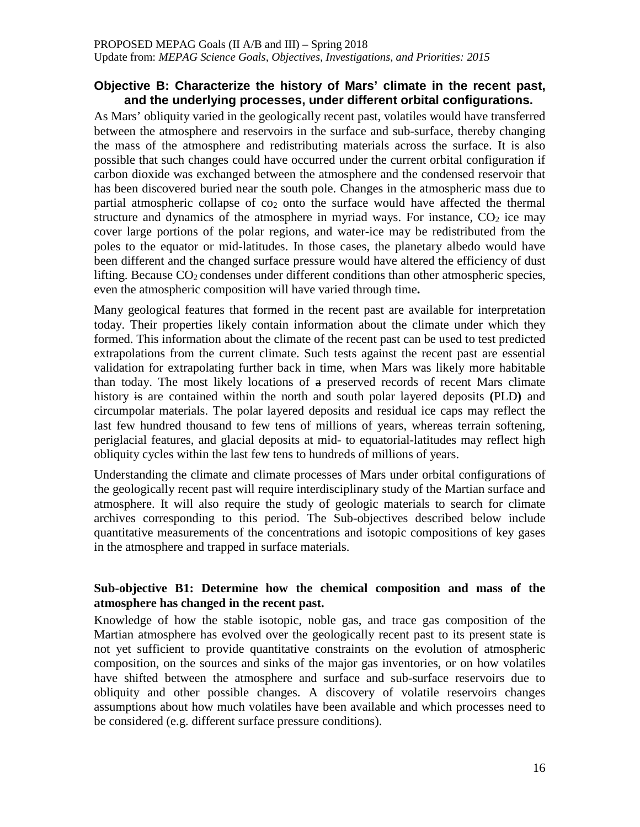### **Objective B: Characterize the history of Mars' climate in the recent past, and the underlying processes, under different orbital configurations.**

As Mars' obliquity varied in the geologically recent past, volatiles would have transferred between the atmosphere and reservoirs in the surface and sub-surface, thereby changing the mass of the atmosphere and redistributing materials across the surface. It is also possible that such changes could have occurred under the current orbital configuration if carbon dioxide was exchanged between the atmosphere and the condensed reservoir that has been discovered buried near the south pole. Changes in the atmospheric mass due to partial atmospheric collapse of  $\cos$  onto the surface would have affected the thermal structure and dynamics of the atmosphere in myriad ways. For instance,  $CO<sub>2</sub>$  ice may cover large portions of the polar regions, and water-ice may be redistributed from the poles to the equator or mid-latitudes. In those cases, the planetary albedo would have been different and the changed surface pressure would have altered the efficiency of dust lifting. Because  $CO<sub>2</sub>$  condenses under different conditions than other atmospheric species, even the atmospheric composition will have varied through time**.**

Many geological features that formed in the recent past are available for interpretation today. Their properties likely contain information about the climate under which they formed. This information about the climate of the recent past can be used to test predicted extrapolations from the current climate. Such tests against the recent past are essential validation for extrapolating further back in time, when Mars was likely more habitable than today. The most likely locations of  $a$  preserved records of recent Mars climate history is are contained within the north and south polar layered deposits **(**PLD**)** and circumpolar materials. The polar layered deposits and residual ice caps may reflect the last few hundred thousand to few tens of millions of years, whereas terrain softening, periglacial features, and glacial deposits at mid- to equatorial-latitudes may reflect high obliquity cycles within the last few tens to hundreds of millions of years.

Understanding the climate and climate processes of Mars under orbital configurations of the geologically recent past will require interdisciplinary study of the Martian surface and atmosphere. It will also require the study of geologic materials to search for climate archives corresponding to this period. The Sub-objectives described below include quantitative measurements of the concentrations and isotopic compositions of key gases in the atmosphere and trapped in surface materials.

### **Sub-objective B1: Determine how the chemical composition and mass of the atmosphere has changed in the recent past.**

Knowledge of how the stable isotopic, noble gas, and trace gas composition of the Martian atmosphere has evolved over the geologically recent past to its present state is not yet sufficient to provide quantitative constraints on the evolution of atmospheric composition, on the sources and sinks of the major gas inventories, or on how volatiles have shifted between the atmosphere and surface and sub-surface reservoirs due to obliquity and other possible changes. A discovery of volatile reservoirs changes assumptions about how much volatiles have been available and which processes need to be considered (e.g. different surface pressure conditions).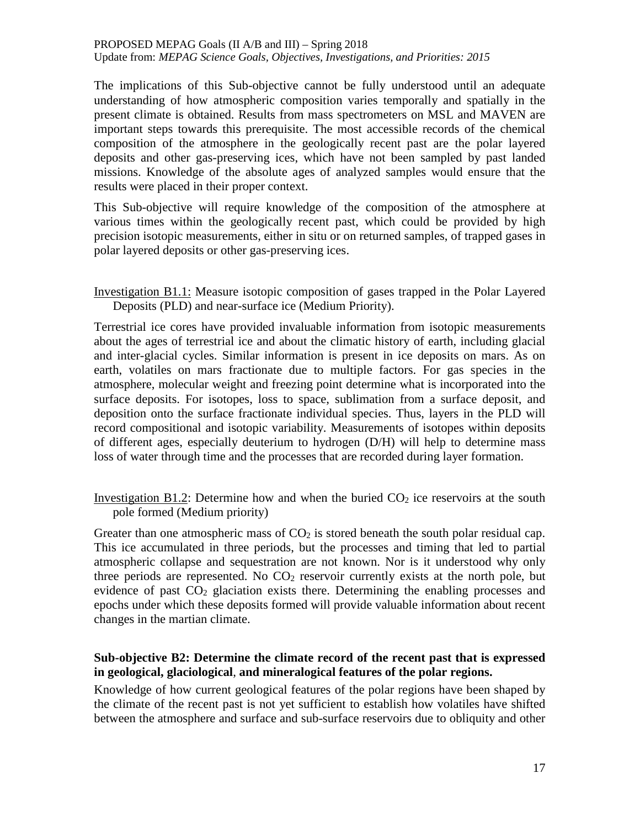The implications of this Sub-objective cannot be fully understood until an adequate understanding of how atmospheric composition varies temporally and spatially in the present climate is obtained. Results from mass spectrometers on MSL and MAVEN are important steps towards this prerequisite. The most accessible records of the chemical composition of the atmosphere in the geologically recent past are the polar layered deposits and other gas-preserving ices, which have not been sampled by past landed missions. Knowledge of the absolute ages of analyzed samples would ensure that the results were placed in their proper context.

This Sub-objective will require knowledge of the composition of the atmosphere at various times within the geologically recent past, which could be provided by high precision isotopic measurements, either in situ or on returned samples, of trapped gases in polar layered deposits or other gas-preserving ices.

Investigation B1.1: Measure isotopic composition of gases trapped in the Polar Layered Deposits (PLD) and near-surface ice (Medium Priority).

Terrestrial ice cores have provided invaluable information from isotopic measurements about the ages of terrestrial ice and about the climatic history of earth, including glacial and inter-glacial cycles. Similar information is present in ice deposits on mars. As on earth, volatiles on mars fractionate due to multiple factors. For gas species in the atmosphere, molecular weight and freezing point determine what is incorporated into the surface deposits. For isotopes, loss to space, sublimation from a surface deposit, and deposition onto the surface fractionate individual species. Thus, layers in the PLD will record compositional and isotopic variability. Measurements of isotopes within deposits of different ages, especially deuterium to hydrogen (D/H) will help to determine mass loss of water through time and the processes that are recorded during layer formation.

Investigation B1.2: Determine how and when the buried  $CO<sub>2</sub>$  ice reservoirs at the south pole formed (Medium priority)

Greater than one atmospheric mass of  $CO<sub>2</sub>$  is stored beneath the south polar residual cap. This ice accumulated in three periods, but the processes and timing that led to partial atmospheric collapse and sequestration are not known. Nor is it understood why only three periods are represented. No  $CO<sub>2</sub>$  reservoir currently exists at the north pole, but evidence of past CO2 glaciation exists there. Determining the enabling processes and epochs under which these deposits formed will provide valuable information about recent changes in the martian climate.

### **Sub-objective B2: Determine the climate record of the recent past that is expressed in geological, glaciological**, **and mineralogical features of the polar regions.**

Knowledge of how current geological features of the polar regions have been shaped by the climate of the recent past is not yet sufficient to establish how volatiles have shifted between the atmosphere and surface and sub-surface reservoirs due to obliquity and other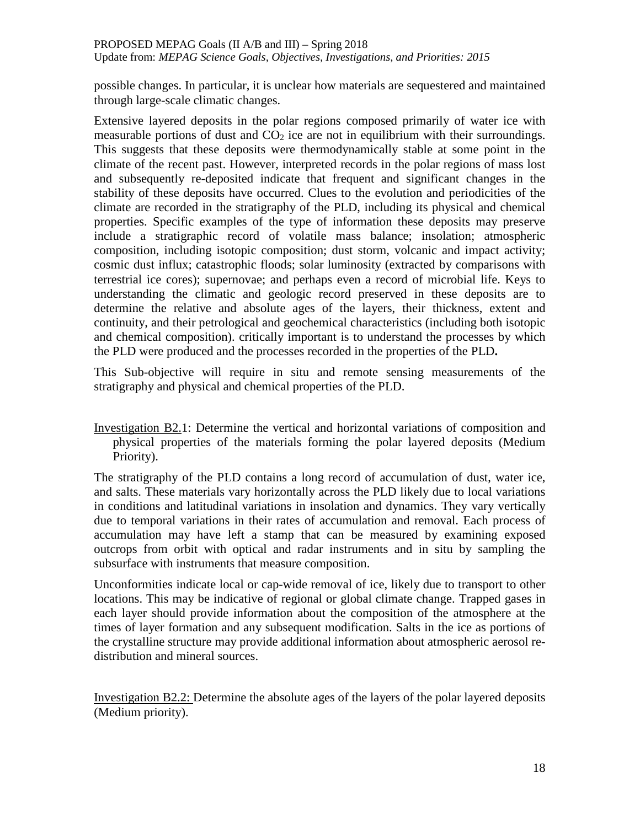possible changes. In particular, it is unclear how materials are sequestered and maintained through large-scale climatic changes.

Extensive layered deposits in the polar regions composed primarily of water ice with measurable portions of dust and  $CO<sub>2</sub>$  ice are not in equilibrium with their surroundings. This suggests that these deposits were thermodynamically stable at some point in the climate of the recent past. However, interpreted records in the polar regions of mass lost and subsequently re-deposited indicate that frequent and significant changes in the stability of these deposits have occurred. Clues to the evolution and periodicities of the climate are recorded in the stratigraphy of the PLD, including its physical and chemical properties. Specific examples of the type of information these deposits may preserve include a stratigraphic record of volatile mass balance; insolation; atmospheric composition, including isotopic composition; dust storm, volcanic and impact activity; cosmic dust influx; catastrophic floods; solar luminosity (extracted by comparisons with terrestrial ice cores); supernovae; and perhaps even a record of microbial life. Keys to understanding the climatic and geologic record preserved in these deposits are to determine the relative and absolute ages of the layers, their thickness, extent and continuity, and their petrological and geochemical characteristics (including both isotopic and chemical composition). critically important is to understand the processes by which the PLD were produced and the processes recorded in the properties of the PLD**.**

This Sub-objective will require in situ and remote sensing measurements of the stratigraphy and physical and chemical properties of the PLD.

Investigation B2.1: Determine the vertical and horizontal variations of composition and physical properties of the materials forming the polar layered deposits (Medium Priority).

The stratigraphy of the PLD contains a long record of accumulation of dust, water ice, and salts. These materials vary horizontally across the PLD likely due to local variations in conditions and latitudinal variations in insolation and dynamics. They vary vertically due to temporal variations in their rates of accumulation and removal. Each process of accumulation may have left a stamp that can be measured by examining exposed outcrops from orbit with optical and radar instruments and in situ by sampling the subsurface with instruments that measure composition.

Unconformities indicate local or cap-wide removal of ice, likely due to transport to other locations. This may be indicative of regional or global climate change. Trapped gases in each layer should provide information about the composition of the atmosphere at the times of layer formation and any subsequent modification. Salts in the ice as portions of the crystalline structure may provide additional information about atmospheric aerosol redistribution and mineral sources.

Investigation B2.2: Determine the absolute ages of the layers of the polar layered deposits (Medium priority).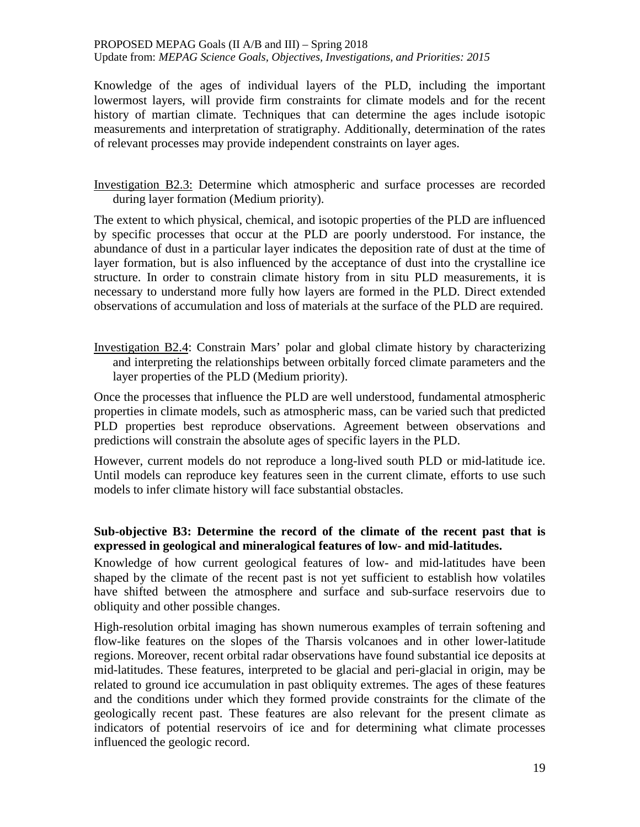Knowledge of the ages of individual layers of the PLD, including the important lowermost layers, will provide firm constraints for climate models and for the recent history of martian climate. Techniques that can determine the ages include isotopic measurements and interpretation of stratigraphy. Additionally, determination of the rates of relevant processes may provide independent constraints on layer ages.

Investigation B2.3: Determine which atmospheric and surface processes are recorded during layer formation (Medium priority).

The extent to which physical, chemical, and isotopic properties of the PLD are influenced by specific processes that occur at the PLD are poorly understood. For instance, the abundance of dust in a particular layer indicates the deposition rate of dust at the time of layer formation, but is also influenced by the acceptance of dust into the crystalline ice structure. In order to constrain climate history from in situ PLD measurements, it is necessary to understand more fully how layers are formed in the PLD. Direct extended observations of accumulation and loss of materials at the surface of the PLD are required.

Investigation B2.4: Constrain Mars' polar and global climate history by characterizing and interpreting the relationships between orbitally forced climate parameters and the layer properties of the PLD (Medium priority).

Once the processes that influence the PLD are well understood, fundamental atmospheric properties in climate models, such as atmospheric mass, can be varied such that predicted PLD properties best reproduce observations. Agreement between observations and predictions will constrain the absolute ages of specific layers in the PLD.

However, current models do not reproduce a long-lived south PLD or mid-latitude ice. Until models can reproduce key features seen in the current climate, efforts to use such models to infer climate history will face substantial obstacles.

### **Sub-objective B3: Determine the record of the climate of the recent past that is expressed in geological and mineralogical features of low- and mid-latitudes.**

Knowledge of how current geological features of low- and mid-latitudes have been shaped by the climate of the recent past is not yet sufficient to establish how volatiles have shifted between the atmosphere and surface and sub-surface reservoirs due to obliquity and other possible changes.

High-resolution orbital imaging has shown numerous examples of terrain softening and flow-like features on the slopes of the Tharsis volcanoes and in other lower-latitude regions. Moreover, recent orbital radar observations have found substantial ice deposits at mid-latitudes. These features, interpreted to be glacial and peri-glacial in origin, may be related to ground ice accumulation in past obliquity extremes. The ages of these features and the conditions under which they formed provide constraints for the climate of the geologically recent past. These features are also relevant for the present climate as indicators of potential reservoirs of ice and for determining what climate processes influenced the geologic record.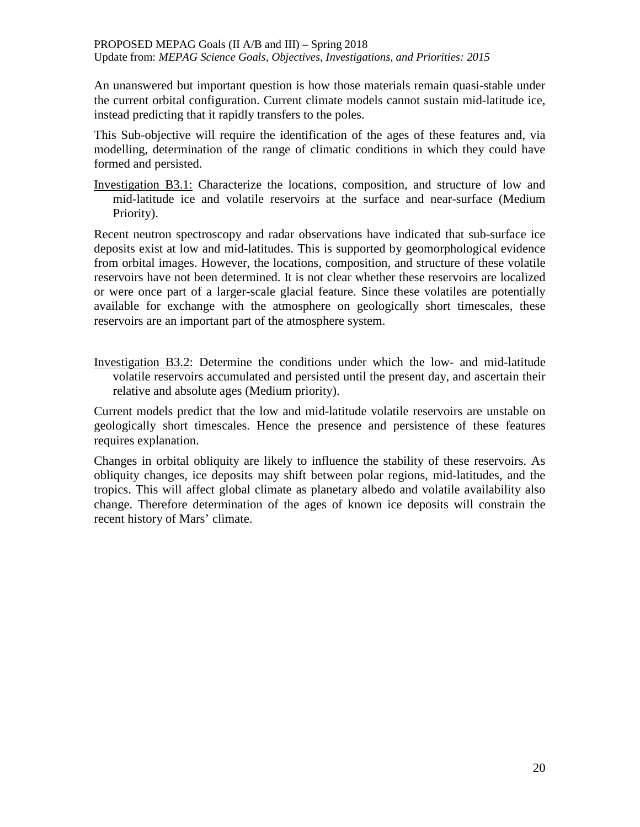An unanswered but important question is how those materials remain quasi-stable under the current orbital configuration. Current climate models cannot sustain mid-latitude ice, instead predicting that it rapidly transfers to the poles.

This Sub-objective will require the identification of the ages of these features and, via modelling, determination of the range of climatic conditions in which they could have formed and persisted.

Investigation B3.1: Characterize the locations, composition, and structure of low and mid-latitude ice and volatile reservoirs at the surface and near-surface (Medium Priority).

Recent neutron spectroscopy and radar observations have indicated that sub-surface ice deposits exist at low and mid-latitudes. This is supported by geomorphological evidence from orbital images. However, the locations, composition, and structure of these volatile reservoirs have not been determined. It is not clear whether these reservoirs are localized or were once part of a larger-scale glacial feature. Since these volatiles are potentially available for exchange with the atmosphere on geologically short timescales, these reservoirs are an important part of the atmosphere system.

Investigation B3.2: Determine the conditions under which the low- and mid-latitude volatile reservoirs accumulated and persisted until the present day, and ascertain their relative and absolute ages (Medium priority).

Current models predict that the low and mid-latitude volatile reservoirs are unstable on geologically short timescales. Hence the presence and persistence of these features requires explanation.

Changes in orbital obliquity are likely to influence the stability of these reservoirs. As obliquity changes, ice deposits may shift between polar regions, mid-latitudes, and the tropics. This will affect global climate as planetary albedo and volatile availability also change. Therefore determination of the ages of known ice deposits will constrain the recent history of Mars' climate.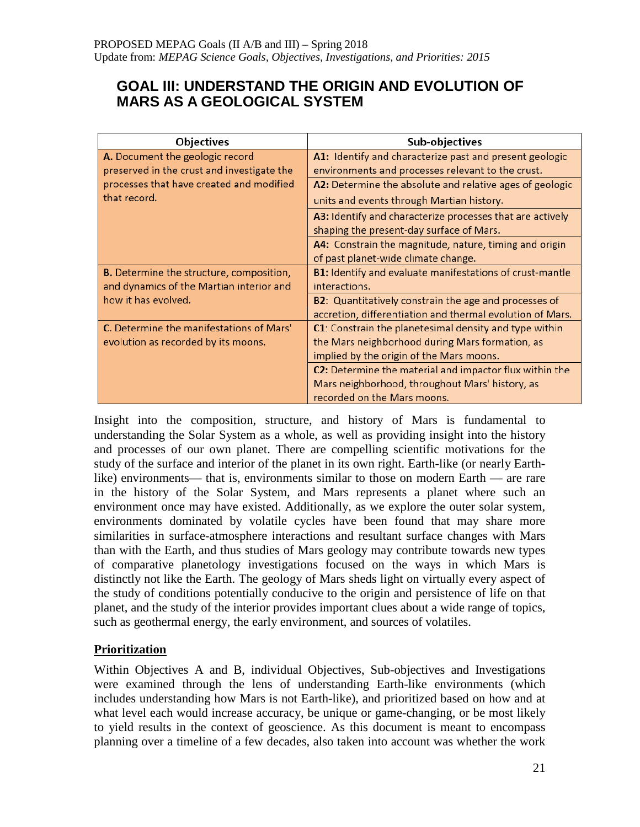# **GOAL III: UNDERSTAND THE ORIGIN AND EVOLUTION OF MARS AS A GEOLOGICAL SYSTEM**

| <b>Objectives</b>                               | Sub-objectives                                            |
|-------------------------------------------------|-----------------------------------------------------------|
| A. Document the geologic record                 | A1: Identify and characterize past and present geologic   |
| preserved in the crust and investigate the      | environments and processes relevant to the crust.         |
| processes that have created and modified        | A2: Determine the absolute and relative ages of geologic  |
| that record.                                    | units and events through Martian history.                 |
|                                                 | A3: Identify and characterize processes that are actively |
|                                                 | shaping the present-day surface of Mars.                  |
|                                                 | A4: Constrain the magnitude, nature, timing and origin    |
|                                                 | of past planet-wide climate change.                       |
| <b>B.</b> Determine the structure, composition, | B1: Identify and evaluate manifestations of crust-mantle  |
| and dynamics of the Martian interior and        | interactions.                                             |
| how it has evolved.                             | B2: Quantitatively constrain the age and processes of     |
|                                                 | accretion, differentiation and thermal evolution of Mars. |
| C. Determine the manifestations of Mars'        | C1: Constrain the planetesimal density and type within    |
| evolution as recorded by its moons.             | the Mars neighborhood during Mars formation, as           |
|                                                 | implied by the origin of the Mars moons.                  |
|                                                 | C2: Determine the material and impactor flux within the   |
|                                                 | Mars neighborhood, throughout Mars' history, as           |
|                                                 | recorded on the Mars moons.                               |

Insight into the composition, structure, and history of Mars is fundamental to understanding the Solar System as a whole, as well as providing insight into the history and processes of our own planet. There are compelling scientific motivations for the study of the surface and interior of the planet in its own right. Earth-like (or nearly Earthlike) environments— that is, environments similar to those on modern Earth — are rare in the history of the Solar System, and Mars represents a planet where such an environment once may have existed. Additionally, as we explore the outer solar system, environments dominated by volatile cycles have been found that may share more similarities in surface-atmosphere interactions and resultant surface changes with Mars than with the Earth, and thus studies of Mars geology may contribute towards new types of comparative planetology investigations focused on the ways in which Mars is distinctly not like the Earth. The geology of Mars sheds light on virtually every aspect of the study of conditions potentially conducive to the origin and persistence of life on that planet, and the study of the interior provides important clues about a wide range of topics, such as geothermal energy, the early environment, and sources of volatiles.

## **Prioritization**

Within Objectives A and B, individual Objectives, Sub-objectives and Investigations were examined through the lens of understanding Earth-like environments (which includes understanding how Mars is not Earth-like), and prioritized based on how and at what level each would increase accuracy, be unique or game-changing, or be most likely to yield results in the context of geoscience. As this document is meant to encompass planning over a timeline of a few decades, also taken into account was whether the work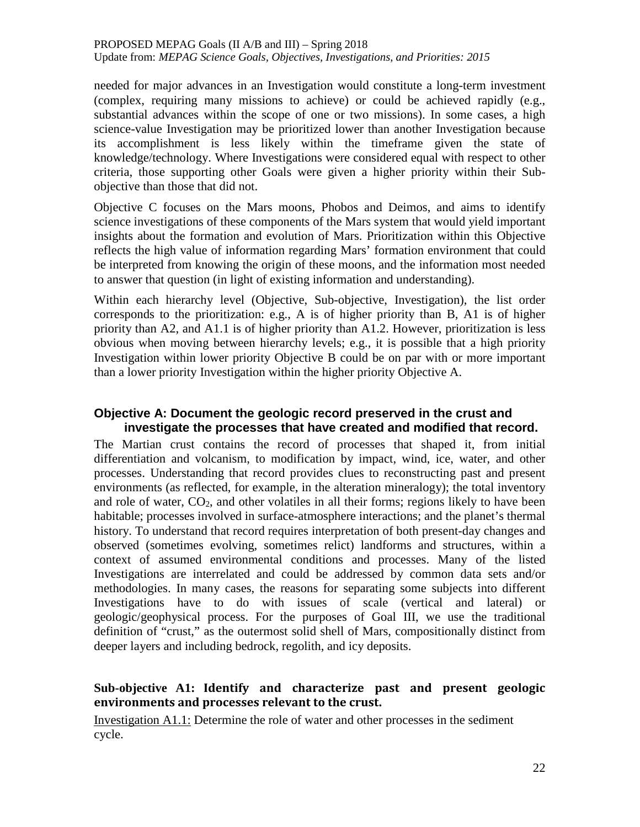needed for major advances in an Investigation would constitute a long-term investment (complex, requiring many missions to achieve) or could be achieved rapidly (e.g., substantial advances within the scope of one or two missions). In some cases, a high science-value Investigation may be prioritized lower than another Investigation because its accomplishment is less likely within the timeframe given the state of knowledge/technology. Where Investigations were considered equal with respect to other criteria, those supporting other Goals were given a higher priority within their Subobjective than those that did not.

Objective C focuses on the Mars moons, Phobos and Deimos, and aims to identify science investigations of these components of the Mars system that would yield important insights about the formation and evolution of Mars. Prioritization within this Objective reflects the high value of information regarding Mars' formation environment that could be interpreted from knowing the origin of these moons, and the information most needed to answer that question (in light of existing information and understanding).

Within each hierarchy level (Objective, Sub-objective, Investigation), the list order corresponds to the prioritization: e.g., A is of higher priority than B, A1 is of higher priority than A2, and A1.1 is of higher priority than A1.2. However, prioritization is less obvious when moving between hierarchy levels; e.g., it is possible that a high priority Investigation within lower priority Objective B could be on par with or more important than a lower priority Investigation within the higher priority Objective A.

### **Objective A: Document the geologic record preserved in the crust and investigate the processes that have created and modified that record.**

The Martian crust contains the record of processes that shaped it, from initial differentiation and volcanism, to modification by impact, wind, ice, water, and other processes. Understanding that record provides clues to reconstructing past and present environments (as reflected, for example, in the alteration mineralogy); the total inventory and role of water,  $CO<sub>2</sub>$ , and other volatiles in all their forms; regions likely to have been habitable; processes involved in surface-atmosphere interactions; and the planet's thermal history. To understand that record requires interpretation of both present-day changes and observed (sometimes evolving, sometimes relict) landforms and structures, within a context of assumed environmental conditions and processes. Many of the listed Investigations are interrelated and could be addressed by common data sets and/or methodologies. In many cases, the reasons for separating some subjects into different Investigations have to do with issues of scale (vertical and lateral) or geologic/geophysical process. For the purposes of Goal III, we use the traditional definition of "crust," as the outermost solid shell of Mars, compositionally distinct from deeper layers and including bedrock, regolith, and icy deposits.

### **Sub-objective A1: Identify and characterize past and present geologic environments and processes relevant to the crust.**

Investigation A1.1: Determine the role of water and other processes in the sediment cycle.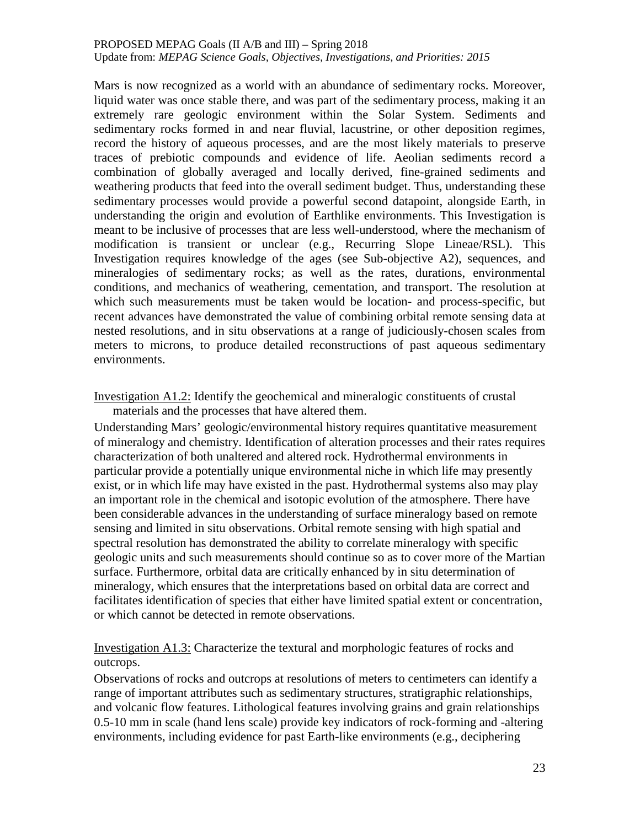Mars is now recognized as a world with an abundance of sedimentary rocks. Moreover, liquid water was once stable there, and was part of the sedimentary process, making it an extremely rare geologic environment within the Solar System. Sediments and sedimentary rocks formed in and near fluvial, lacustrine, or other deposition regimes, record the history of aqueous processes, and are the most likely materials to preserve traces of prebiotic compounds and evidence of life. Aeolian sediments record a combination of globally averaged and locally derived, fine-grained sediments and weathering products that feed into the overall sediment budget. Thus, understanding these sedimentary processes would provide a powerful second datapoint, alongside Earth, in understanding the origin and evolution of Earthlike environments. This Investigation is meant to be inclusive of processes that are less well-understood, where the mechanism of modification is transient or unclear (e.g., Recurring Slope Lineae/RSL). This Investigation requires knowledge of the ages (see Sub-objective A2), sequences, and mineralogies of sedimentary rocks; as well as the rates, durations, environmental conditions, and mechanics of weathering, cementation, and transport. The resolution at which such measurements must be taken would be location- and process-specific, but recent advances have demonstrated the value of combining orbital remote sensing data at nested resolutions, and in situ observations at a range of judiciously-chosen scales from meters to microns, to produce detailed reconstructions of past aqueous sedimentary environments.

Investigation A1.2: Identify the geochemical and mineralogic constituents of crustal materials and the processes that have altered them.

Understanding Mars' geologic/environmental history requires quantitative measurement of mineralogy and chemistry. Identification of alteration processes and their rates requires characterization of both unaltered and altered rock. Hydrothermal environments in particular provide a potentially unique environmental niche in which life may presently exist, or in which life may have existed in the past. Hydrothermal systems also may play an important role in the chemical and isotopic evolution of the atmosphere. There have been considerable advances in the understanding of surface mineralogy based on remote sensing and limited in situ observations. Orbital remote sensing with high spatial and spectral resolution has demonstrated the ability to correlate mineralogy with specific geologic units and such measurements should continue so as to cover more of the Martian surface. Furthermore, orbital data are critically enhanced by in situ determination of mineralogy, which ensures that the interpretations based on orbital data are correct and facilitates identification of species that either have limited spatial extent or concentration, or which cannot be detected in remote observations.

Investigation A1.3: Characterize the textural and morphologic features of rocks and outcrops.

Observations of rocks and outcrops at resolutions of meters to centimeters can identify a range of important attributes such as sedimentary structures, stratigraphic relationships, and volcanic flow features. Lithological features involving grains and grain relationships 0.5-10 mm in scale (hand lens scale) provide key indicators of rock-forming and -altering environments, including evidence for past Earth-like environments (e.g., deciphering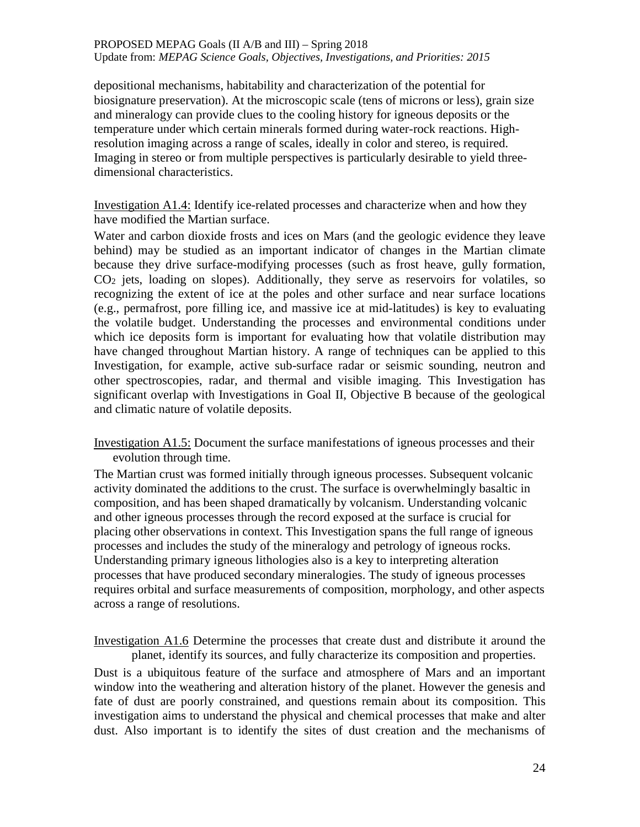depositional mechanisms, habitability and characterization of the potential for biosignature preservation). At the microscopic scale (tens of microns or less), grain size and mineralogy can provide clues to the cooling history for igneous deposits or the temperature under which certain minerals formed during water-rock reactions. Highresolution imaging across a range of scales, ideally in color and stereo, is required. Imaging in stereo or from multiple perspectives is particularly desirable to yield threedimensional characteristics.

Investigation A1.4: Identify ice-related processes and characterize when and how they have modified the Martian surface.

Water and carbon dioxide frosts and ices on Mars (and the geologic evidence they leave behind) may be studied as an important indicator of changes in the Martian climate because they drive surface-modifying processes (such as frost heave, gully formation, CO2 jets, loading on slopes). Additionally, they serve as reservoirs for volatiles, so recognizing the extent of ice at the poles and other surface and near surface locations (e.g., permafrost, pore filling ice, and massive ice at mid-latitudes) is key to evaluating the volatile budget. Understanding the processes and environmental conditions under which ice deposits form is important for evaluating how that volatile distribution may have changed throughout Martian history. A range of techniques can be applied to this Investigation, for example, active sub-surface radar or seismic sounding, neutron and other spectroscopies, radar, and thermal and visible imaging. This Investigation has significant overlap with Investigations in Goal II, Objective B because of the geological and climatic nature of volatile deposits.

Investigation A1.5: Document the surface manifestations of igneous processes and their evolution through time.

The Martian crust was formed initially through igneous processes. Subsequent volcanic activity dominated the additions to the crust. The surface is overwhelmingly basaltic in composition, and has been shaped dramatically by volcanism. Understanding volcanic and other igneous processes through the record exposed at the surface is crucial for placing other observations in context. This Investigation spans the full range of igneous processes and includes the study of the mineralogy and petrology of igneous rocks. Understanding primary igneous lithologies also is a key to interpreting alteration processes that have produced secondary mineralogies. The study of igneous processes requires orbital and surface measurements of composition, morphology, and other aspects across a range of resolutions.

Investigation A1.6 Determine the processes that create dust and distribute it around the planet, identify its sources, and fully characterize its composition and properties.

Dust is a ubiquitous feature of the surface and atmosphere of Mars and an important window into the weathering and alteration history of the planet. However the genesis and fate of dust are poorly constrained, and questions remain about its composition. This investigation aims to understand the physical and chemical processes that make and alter dust. Also important is to identify the sites of dust creation and the mechanisms of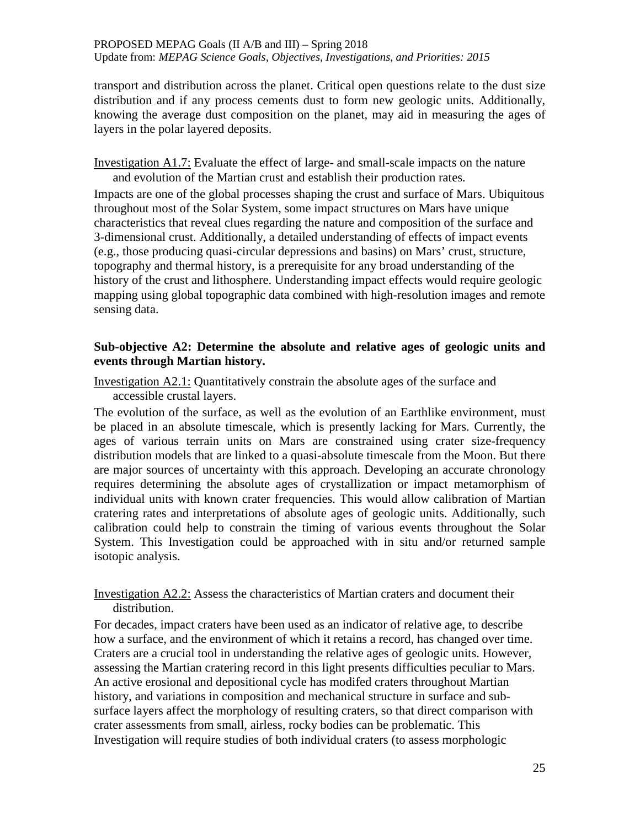transport and distribution across the planet. Critical open questions relate to the dust size distribution and if any process cements dust to form new geologic units. Additionally, knowing the average dust composition on the planet, may aid in measuring the ages of layers in the polar layered deposits.

Investigation A1.7: Evaluate the effect of large- and small-scale impacts on the nature and evolution of the Martian crust and establish their production rates.

Impacts are one of the global processes shaping the crust and surface of Mars. Ubiquitous throughout most of the Solar System, some impact structures on Mars have unique characteristics that reveal clues regarding the nature and composition of the surface and 3-dimensional crust. Additionally, a detailed understanding of effects of impact events (e.g., those producing quasi-circular depressions and basins) on Mars' crust, structure, topography and thermal history, is a prerequisite for any broad understanding of the history of the crust and lithosphere. Understanding impact effects would require geologic mapping using global topographic data combined with high-resolution images and remote sensing data.

### **Sub-objective A2: Determine the absolute and relative ages of geologic units and events through Martian history.**

Investigation A2.1: Quantitatively constrain the absolute ages of the surface and accessible crustal layers.

The evolution of the surface, as well as the evolution of an Earthlike environment, must be placed in an absolute timescale, which is presently lacking for Mars. Currently, the ages of various terrain units on Mars are constrained using crater size-frequency distribution models that are linked to a quasi-absolute timescale from the Moon. But there are major sources of uncertainty with this approach. Developing an accurate chronology requires determining the absolute ages of crystallization or impact metamorphism of individual units with known crater frequencies. This would allow calibration of Martian cratering rates and interpretations of absolute ages of geologic units. Additionally, such calibration could help to constrain the timing of various events throughout the Solar System. This Investigation could be approached with in situ and/or returned sample isotopic analysis.

Investigation A2.2: Assess the characteristics of Martian craters and document their distribution.

For decades, impact craters have been used as an indicator of relative age, to describe how a surface, and the environment of which it retains a record, has changed over time. Craters are a crucial tool in understanding the relative ages of geologic units. However, assessing the Martian cratering record in this light presents difficulties peculiar to Mars. An active erosional and depositional cycle has modifed craters throughout Martian history, and variations in composition and mechanical structure in surface and subsurface layers affect the morphology of resulting craters, so that direct comparison with crater assessments from small, airless, rocky bodies can be problematic. This Investigation will require studies of both individual craters (to assess morphologic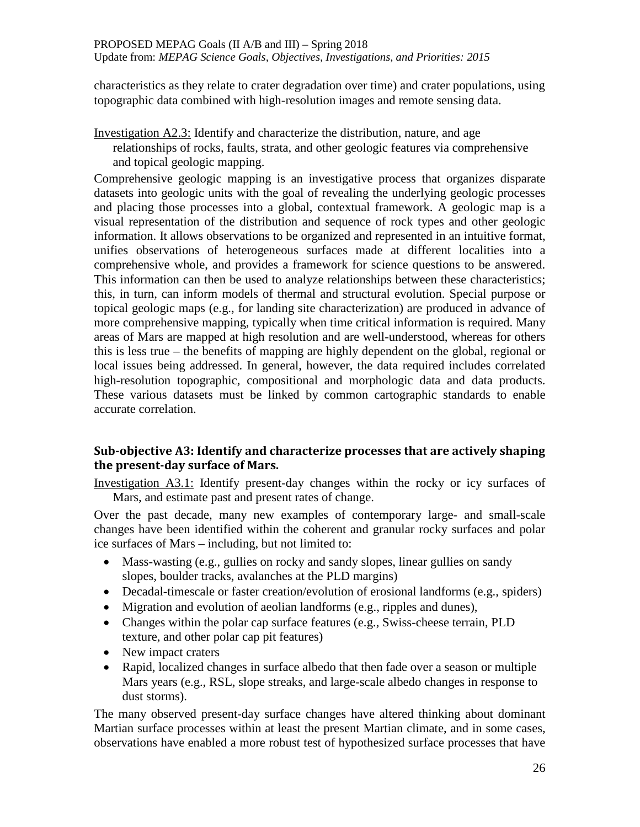characteristics as they relate to crater degradation over time) and crater populations, using topographic data combined with high-resolution images and remote sensing data.

Investigation A2.3: Identify and characterize the distribution, nature, and age relationships of rocks, faults, strata, and other geologic features via comprehensive and topical geologic mapping.

Comprehensive geologic mapping is an investigative process that organizes disparate datasets into geologic units with the goal of revealing the underlying geologic processes and placing those processes into a global, contextual framework. A geologic map is a visual representation of the distribution and sequence of rock types and other geologic information. It allows observations to be organized and represented in an intuitive format, unifies observations of heterogeneous surfaces made at different localities into a comprehensive whole, and provides a framework for science questions to be answered. This information can then be used to analyze relationships between these characteristics; this, in turn, can inform models of thermal and structural evolution. Special purpose or topical geologic maps (e.g., for landing site characterization) are produced in advance of more comprehensive mapping, typically when time critical information is required. Many areas of Mars are mapped at high resolution and are well-understood, whereas for others this is less true – the benefits of mapping are highly dependent on the global, regional or local issues being addressed. In general, however, the data required includes correlated high-resolution topographic, compositional and morphologic data and data products. These various datasets must be linked by common cartographic standards to enable accurate correlation.

## **Sub-objective A3: Identify and characterize processes that are actively shaping the present-day surface of Mars.**

Investigation A3.1: Identify present-day changes within the rocky or icy surfaces of Mars, and estimate past and present rates of change.

Over the past decade, many new examples of contemporary large- and small-scale changes have been identified within the coherent and granular rocky surfaces and polar ice surfaces of Mars – including, but not limited to:

- Mass-wasting (e.g., gullies on rocky and sandy slopes, linear gullies on sandy slopes, boulder tracks, avalanches at the PLD margins)
- Decadal-timescale or faster creation/evolution of erosional landforms (e.g., spiders)
- Migration and evolution of aeolian landforms (e.g., ripples and dunes),
- Changes within the polar cap surface features (e.g., Swiss-cheese terrain, PLD texture, and other polar cap pit features)
- New impact craters
- Rapid, localized changes in surface albedo that then fade over a season or multiple Mars years (e.g., RSL, slope streaks, and large-scale albedo changes in response to dust storms).

The many observed present-day surface changes have altered thinking about dominant Martian surface processes within at least the present Martian climate, and in some cases, observations have enabled a more robust test of hypothesized surface processes that have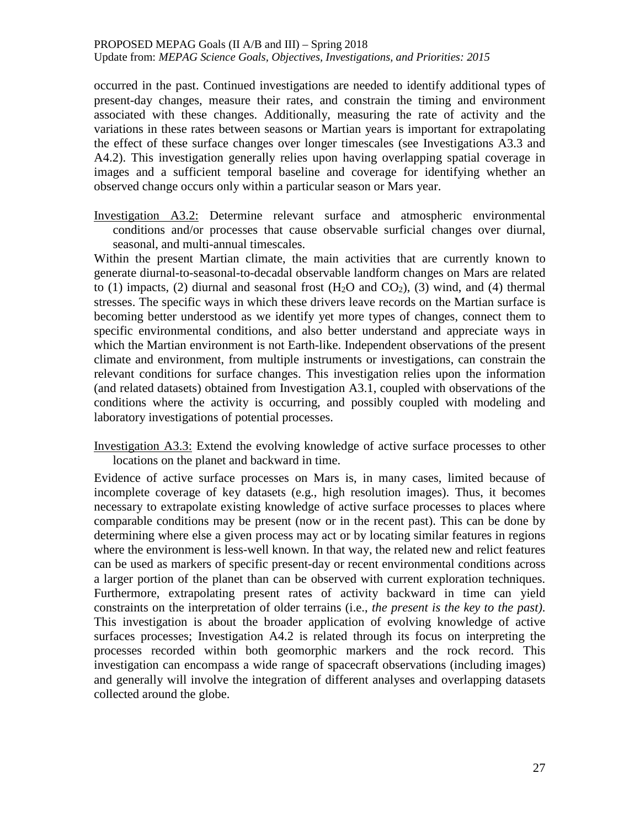occurred in the past. Continued investigations are needed to identify additional types of present-day changes, measure their rates, and constrain the timing and environment associated with these changes. Additionally, measuring the rate of activity and the variations in these rates between seasons or Martian years is important for extrapolating the effect of these surface changes over longer timescales (see Investigations A3.3 and A4.2). This investigation generally relies upon having overlapping spatial coverage in images and a sufficient temporal baseline and coverage for identifying whether an observed change occurs only within a particular season or Mars year.

Investigation A3.2: Determine relevant surface and atmospheric environmental conditions and/or processes that cause observable surficial changes over diurnal, seasonal, and multi-annual timescales.

Within the present Martian climate, the main activities that are currently known to generate diurnal-to-seasonal-to-decadal observable landform changes on Mars are related to (1) impacts, (2) diurnal and seasonal frost  $(H<sub>2</sub>O$  and  $CO<sub>2</sub>$ ), (3) wind, and (4) thermal stresses. The specific ways in which these drivers leave records on the Martian surface is becoming better understood as we identify yet more types of changes, connect them to specific environmental conditions, and also better understand and appreciate ways in which the Martian environment is not Earth-like. Independent observations of the present climate and environment, from multiple instruments or investigations, can constrain the relevant conditions for surface changes. This investigation relies upon the information (and related datasets) obtained from Investigation A3.1, coupled with observations of the conditions where the activity is occurring, and possibly coupled with modeling and laboratory investigations of potential processes.

Investigation A3.3: Extend the evolving knowledge of active surface processes to other locations on the planet and backward in time.

Evidence of active surface processes on Mars is, in many cases, limited because of incomplete coverage of key datasets (e.g., high resolution images). Thus, it becomes necessary to extrapolate existing knowledge of active surface processes to places where comparable conditions may be present (now or in the recent past). This can be done by determining where else a given process may act or by locating similar features in regions where the environment is less-well known. In that way, the related new and relict features can be used as markers of specific present-day or recent environmental conditions across a larger portion of the planet than can be observed with current exploration techniques. Furthermore, extrapolating present rates of activity backward in time can yield constraints on the interpretation of older terrains (i.e., *the present is the key to the past)*. This investigation is about the broader application of evolving knowledge of active surfaces processes; Investigation A4.2 is related through its focus on interpreting the processes recorded within both geomorphic markers and the rock record. This investigation can encompass a wide range of spacecraft observations (including images) and generally will involve the integration of different analyses and overlapping datasets collected around the globe.